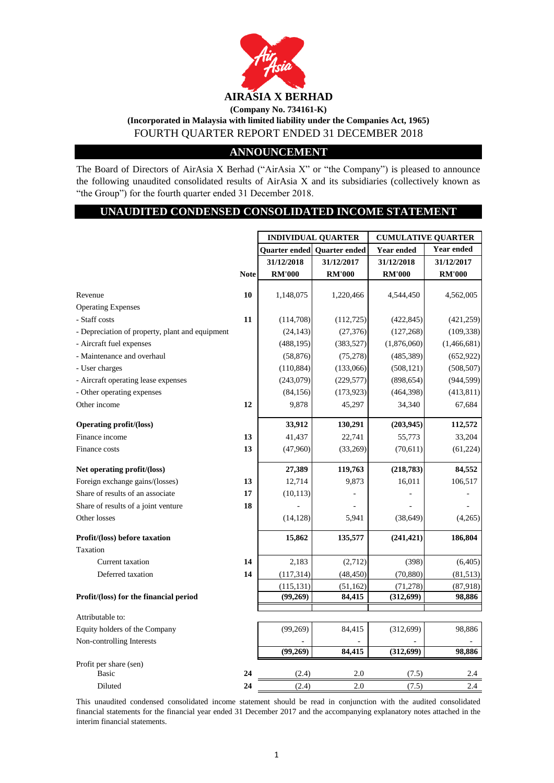

## **(Incorporated in Malaysia with limited liability under the Companies Act, 1965)** FOURTH QUARTER REPORT ENDED 31 DECEMBER 2018

## **ANNOUNCEMENT**

The Board of Directors of AirAsia X Berhad ("AirAsia X" or "the Company") is pleased to announce the following unaudited consolidated results of AirAsia X and its subsidiaries (collectively known as "the Group") for the fourth quarter ended 31 December 2018.

## **UNAUDITED CONDENSED CONSOLIDATED INCOME STATEMENT**

|                                                 |             | <b>INDIVIDUAL QUARTER</b> |                             | <b>CUMULATIVE QUARTER</b> |                   |  |
|-------------------------------------------------|-------------|---------------------------|-----------------------------|---------------------------|-------------------|--|
|                                                 |             |                           | Quarter ended Quarter ended | Year ended                | <b>Year ended</b> |  |
|                                                 |             | 31/12/2018                | 31/12/2017                  | 31/12/2018                | 31/12/2017        |  |
|                                                 | <b>Note</b> | <b>RM'000</b>             | <b>RM'000</b>               | <b>RM'000</b>             | <b>RM'000</b>     |  |
| Revenue                                         | 10          | 1,148,075                 | 1,220,466                   | 4,544,450                 | 4,562,005         |  |
| <b>Operating Expenses</b>                       |             |                           |                             |                           |                   |  |
| - Staff costs                                   | 11          | (114,708)                 | (112, 725)                  | (422, 845)                | (421, 259)        |  |
| - Depreciation of property, plant and equipment |             | (24, 143)                 | (27, 376)                   | (127, 268)                | (109, 338)        |  |
| - Aircraft fuel expenses                        |             | (488, 195)                | (383, 527)                  | (1,876,060)               | (1,466,681)       |  |
| - Maintenance and overhaul                      |             | (58, 876)                 | (75, 278)                   | (485, 389)                | (652, 922)        |  |
| - User charges                                  |             | (110, 884)                | (133,066)                   | (508, 121)                | (508, 507)        |  |
| - Aircraft operating lease expenses             |             | (243,079)                 | (229, 577)                  | (898, 654)                | (944, 599)        |  |
| - Other operating expenses                      |             | (84, 156)                 | (173, 923)                  | (464, 398)                | (413, 811)        |  |
| Other income                                    | 12          | 9,878                     | 45,297                      | 34,340                    | 67,684            |  |
| <b>Operating profit/(loss)</b>                  |             | 33,912                    | 130,291                     | (203, 945)                | 112,572           |  |
| Finance income                                  | 13          | 41,437                    | 22,741                      | 55,773                    | 33,204            |  |
| Finance costs                                   | 13          | (47,960)                  | (33,269)                    | (70, 611)                 | (61, 224)         |  |
| Net operating profit/(loss)                     |             | 27,389                    | 119,763                     | (218, 783)                | 84,552            |  |
| Foreign exchange gains/(losses)                 | 13          | 12,714                    | 9,873                       | 16,011                    | 106,517           |  |
| Share of results of an associate                | 17          | (10, 113)                 |                             |                           |                   |  |
| Share of results of a joint venture             | 18          |                           |                             |                           |                   |  |
| Other losses                                    |             | (14, 128)                 | 5,941                       | (38, 649)                 | (4,265)           |  |
| Profit/(loss) before taxation                   |             | 15,862                    | 135,577                     | (241, 421)                | 186,804           |  |
| Taxation                                        |             |                           |                             |                           |                   |  |
| Current taxation                                | 14          | 2,183                     | (2,712)                     | (398)                     | (6, 405)          |  |
| Deferred taxation                               | 14          | (117, 314)                | (48, 450)                   | (70, 880)                 | (81, 513)         |  |
|                                                 |             | (115, 131)                | (51, 162)                   | (71, 278)                 | (87,918)          |  |
| Profit/(loss) for the financial period          |             | (99,269)                  | 84,415                      | (312, 699)                | 98,886            |  |
| Attributable to:                                |             |                           |                             |                           |                   |  |
| Equity holders of the Company                   |             | (99,269)                  | 84,415                      | (312, 699)                | 98,886            |  |
| Non-controlling Interests                       |             | (99,269)                  | 84.415                      | (312, 699)                | 98,886            |  |
|                                                 |             |                           |                             |                           |                   |  |
| Profit per share (sen)<br><b>Basic</b>          | 24          | (2.4)                     | 2.0                         | (7.5)                     | 2.4               |  |
| Diluted                                         | 24          | (2.4)                     | 2.0                         | (7.5)                     | 2.4               |  |

This unaudited condensed consolidated income statement should be read in conjunction with the audited consolidated financial statements for the financial year ended 31 December 2017 and the accompanying explanatory notes attached in the interim financial statements.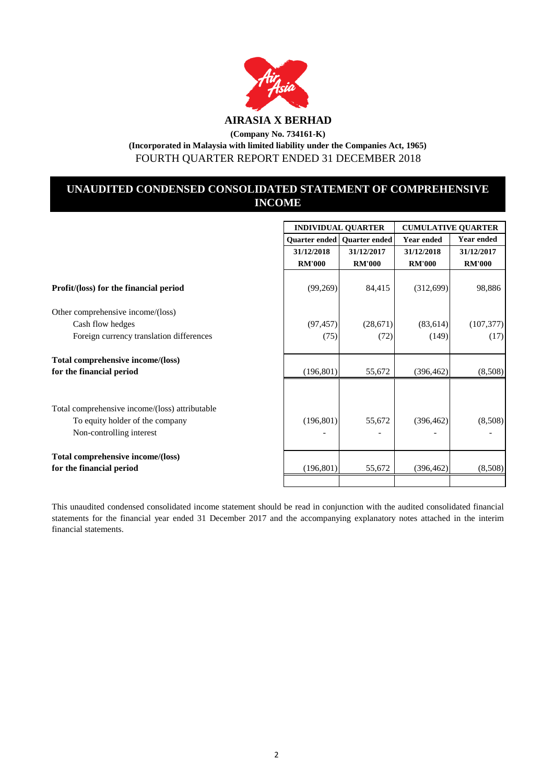

## **UNAUDITED CONDENSED CONSOLIDATED STATEMENT OF COMPREHENSIVE INCOME**

|                                                                                                   |                             | <b>INDIVIDUAL QUARTER</b>          | <b>CUMULATIVE QUARTER</b>   |                             |  |  |
|---------------------------------------------------------------------------------------------------|-----------------------------|------------------------------------|-----------------------------|-----------------------------|--|--|
|                                                                                                   |                             | <b>Quarter ended Quarter ended</b> | <b>Year ended</b>           | <b>Year ended</b>           |  |  |
|                                                                                                   | 31/12/2018<br><b>RM'000</b> | 31/12/2017<br><b>RM'000</b>        | 31/12/2018<br><b>RM'000</b> | 31/12/2017<br><b>RM'000</b> |  |  |
| Profit/(loss) for the financial period                                                            | (99,269)                    | 84,415                             | (312,699)                   | 98,886                      |  |  |
| Other comprehensive income/(loss)<br>Cash flow hedges<br>Foreign currency translation differences | (97, 457)<br>(75)           | (28,671)<br>(72)                   | (83, 614)<br>(149)          | (107, 377)<br>(17)          |  |  |
| Total comprehensive income/(loss)<br>for the financial period                                     | (196, 801)                  | 55,672                             | (396, 462)                  | (8,508)                     |  |  |
| Total comprehensive income/(loss) attributable<br>To equity holder of the company                 | (196, 801)                  | 55,672                             | (396, 462)                  | (8,508)                     |  |  |
| Non-controlling interest                                                                          |                             |                                    |                             |                             |  |  |
| Total comprehensive income/(loss)<br>for the financial period                                     | (196, 801)                  | 55,672                             | (396, 462)                  | (8,508)                     |  |  |
|                                                                                                   |                             |                                    |                             |                             |  |  |

This unaudited condensed consolidated income statement should be read in conjunction with the audited consolidated financial statements for the financial year ended 31 December 2017 and the accompanying explanatory notes attached in the interim financial statements.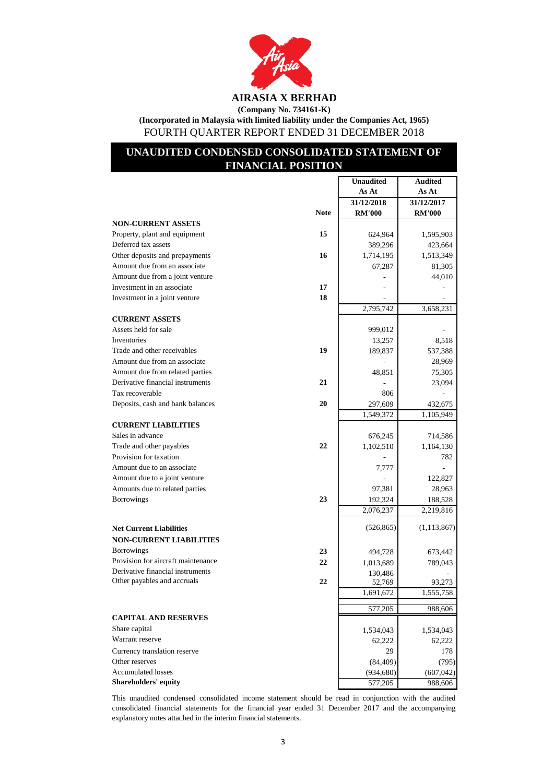

**(Company No. 734161-K)**

**(Incorporated in Malaysia with limited liability under the Companies Act, 1965)** FOURTH QUARTER REPORT ENDED 31 DECEMBER 2018

## **UNAUDITED CONDENSED CONSOLIDATED STATEMENT OF FINANCIAL POSITION**

|                                    |             | <b>Unaudited</b>  | <b>Audited</b> |
|------------------------------------|-------------|-------------------|----------------|
|                                    |             | As At             | As At          |
|                                    |             | 31/12/2018        | 31/12/2017     |
|                                    | <b>Note</b> | <b>RM'000</b>     | <b>RM'000</b>  |
| <b>NON-CURRENT ASSETS</b>          |             |                   |                |
| Property, plant and equipment      | 15          | 624,964           | 1,595,903      |
| Deferred tax assets                |             | 389,296           | 423,664        |
| Other deposits and prepayments     | 16          | 1,714,195         | 1,513,349      |
| Amount due from an associate       |             | 67,287            | 81,305         |
| Amount due from a joint venture    |             |                   | 44,010         |
| Investment in an associate         | 17          |                   |                |
| Investment in a joint venture      | 18          |                   |                |
|                                    |             | 2,795,742         | 3,658,231      |
| <b>CURRENT ASSETS</b>              |             |                   |                |
| Assets held for sale               |             | 999,012           |                |
| Inventories                        |             | 13,257            | 8,518          |
| Trade and other receivables        | 19          | 189,837           | 537,388        |
| Amount due from an associate       |             |                   | 28,969         |
| Amount due from related parties    |             | 48,851            | 75,305         |
| Derivative financial instruments   | 21          |                   | 23,094         |
| Tax recoverable                    |             | 806               |                |
| Deposits, cash and bank balances   | 20          | 297,609           | 432,675        |
|                                    |             | 1,549,372         | 1,105,949      |
| <b>CURRENT LIABILITIES</b>         |             |                   |                |
| Sales in advance                   |             | 676,245           | 714,586        |
| Trade and other payables           | 22          | 1,102,510         | 1,164,130      |
| Provision for taxation             |             |                   | 782            |
| Amount due to an associate         |             | 7,777             |                |
| Amount due to a joint venture      |             |                   | 122,827        |
| Amounts due to related parties     |             | 97,381            | 28,963         |
| <b>Borrowings</b>                  | 23          | 192,324           | 188,528        |
|                                    |             | 2,076,237         | 2,219,816      |
| <b>Net Current Liabilities</b>     |             | (526, 865)        | (1, 113, 867)  |
| <b>NON-CURRENT LIABILITIES</b>     |             |                   |                |
| <b>Borrowings</b>                  |             |                   |                |
| Provision for aircraft maintenance | 23          | 494,728           | 673,442        |
| Derivative financial instruments   | 22          | 1,013,689         | 789,043        |
| Other payables and accruals        | 22          | 130,486<br>52,769 | 93,273         |
|                                    |             | 1,691,672         | 1,555,758      |
|                                    |             |                   |                |
|                                    |             | 577,205           | 988,606        |
| <b>CAPITAL AND RESERVES</b>        |             |                   |                |
| Share capital                      |             | 1,534,043         | 1,534,043      |
| Warrant reserve                    |             | 62,222            | 62,222         |
| Currency translation reserve       |             | 29                | 178            |
| Other reserves                     |             | (84, 409)         | (795)          |
| <b>Accumulated losses</b>          |             | (934, 680)        | (607, 042)     |
| <b>Shareholders' equity</b>        |             | 577,205           | 988,606        |

This unaudited condensed consolidated income statement should be read in conjunction with the audited consolidated financial statements for the financial year ended 31 December 2017 and the accompanying explanatory notes attached in the interim financial statements.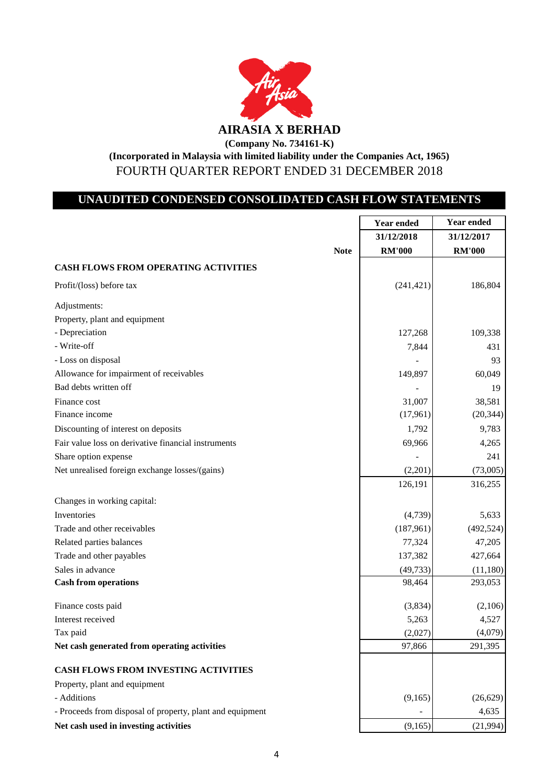

**(Company No. 734161-K)**

**(Incorporated in Malaysia with limited liability under the Companies Act, 1965)** FOURTH QUARTER REPORT ENDED 31 DECEMBER 2018

## **UNAUDITED CONDENSED CONSOLIDATED CASH FLOW STATEMENTS**

|                                                           |             | <b>Year ended</b> | <b>Year ended</b> |
|-----------------------------------------------------------|-------------|-------------------|-------------------|
|                                                           |             | 31/12/2018        | 31/12/2017        |
|                                                           | <b>Note</b> | <b>RM'000</b>     | <b>RM'000</b>     |
| <b>CASH FLOWS FROM OPERATING ACTIVITIES</b>               |             |                   |                   |
| Profit/(loss) before tax                                  |             | (241, 421)        | 186,804           |
| Adjustments:                                              |             |                   |                   |
| Property, plant and equipment                             |             |                   |                   |
| - Depreciation                                            |             | 127,268           | 109,338           |
| - Write-off                                               |             | 7,844             | 431               |
| - Loss on disposal                                        |             |                   | 93                |
| Allowance for impairment of receivables                   |             | 149,897           | 60,049            |
| Bad debts written off                                     |             |                   | 19                |
| Finance cost                                              |             | 31,007            | 38,581            |
| Finance income                                            |             | (17,961)          | (20, 344)         |
| Discounting of interest on deposits                       |             | 1,792             | 9,783             |
| Fair value loss on derivative financial instruments       |             | 69,966            | 4,265             |
| Share option expense                                      |             |                   | 241               |
| Net unrealised foreign exchange losses/(gains)            |             | (2,201)           | (73,005)          |
|                                                           |             | 126,191           | 316,255           |
| Changes in working capital:                               |             |                   |                   |
| Inventories                                               |             | (4,739)           | 5,633             |
| Trade and other receivables                               |             | (187,961)         | (492, 524)        |
| Related parties balances                                  |             | 77,324            | 47,205            |
| Trade and other payables                                  |             | 137,382           | 427,664           |
| Sales in advance                                          |             | (49, 733)         | (11,180)          |
| <b>Cash from operations</b>                               |             | 98,464            | 293,053           |
| Finance costs paid                                        |             | (3,834)           | (2,106)           |
| Interest received                                         |             | 5,263             | 4,527             |
| Tax paid                                                  |             | (2,027)           | (4,079)           |
| Net cash generated from operating activities              |             | 97,866            | 291,395           |
| CASH FLOWS FROM INVESTING ACTIVITIES                      |             |                   |                   |
| Property, plant and equipment                             |             |                   |                   |
| - Additions                                               |             | (9,165)           | (26,629)          |
| - Proceeds from disposal of property, plant and equipment |             |                   | 4,635             |
| Net cash used in investing activities                     |             | (9,165)           | (21,994)          |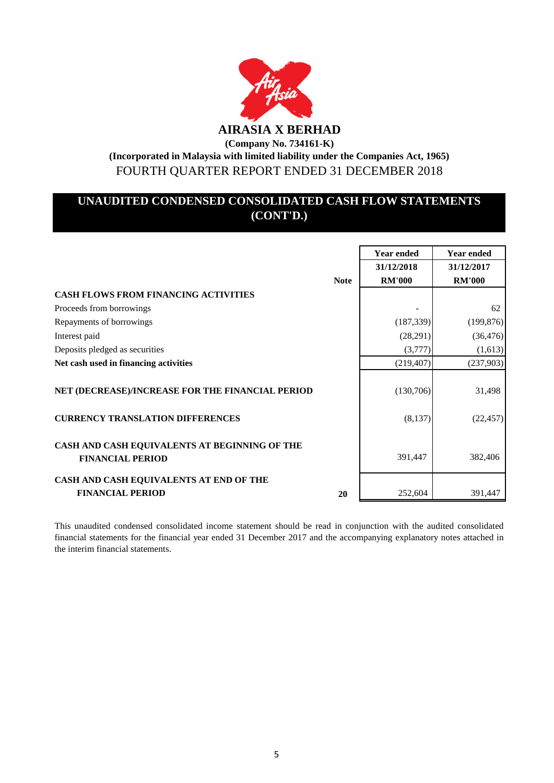

**(Incorporated in Malaysia with limited liability under the Companies Act, 1965)** FOURTH QUARTER REPORT ENDED 31 DECEMBER 2018

# **UNAUDITED CONDENSED CONSOLIDATED CASH FLOW STATEMENTS (CONT'D.)**

|                                                                          |             | <b>Year ended</b> | <b>Year ended</b> |
|--------------------------------------------------------------------------|-------------|-------------------|-------------------|
|                                                                          |             | 31/12/2018        | 31/12/2017        |
|                                                                          | <b>Note</b> | <b>RM'000</b>     | <b>RM'000</b>     |
| <b>CASH FLOWS FROM FINANCING ACTIVITIES</b>                              |             |                   |                   |
| Proceeds from borrowings                                                 |             |                   | 62                |
| Repayments of borrowings                                                 |             | (187, 339)        | (199, 876)        |
| Interest paid                                                            |             | (28, 291)         | (36, 476)         |
| Deposits pledged as securities                                           |             | (3,777)           | (1,613)           |
| Net cash used in financing activities                                    |             | (219, 407)        | (237,903)         |
| NET (DECREASE)/INCREASE FOR THE FINANCIAL PERIOD                         |             | (130,706)         | 31,498            |
| <b>CURRENCY TRANSLATION DIFFERENCES</b>                                  |             | (8,137)           | (22, 457)         |
| CASH AND CASH EQUIVALENTS AT BEGINNING OF THE<br><b>FINANCIAL PERIOD</b> |             | 391,447           | 382,406           |
| CASH AND CASH EQUIVALENTS AT END OF THE<br><b>FINANCIAL PERIOD</b>       | 20          | 252,604           | 391,447           |

This unaudited condensed consolidated income statement should be read in conjunction with the audited consolidated financial statements for the financial year ended 31 December 2017 and the accompanying explanatory notes attached in the interim financial statements.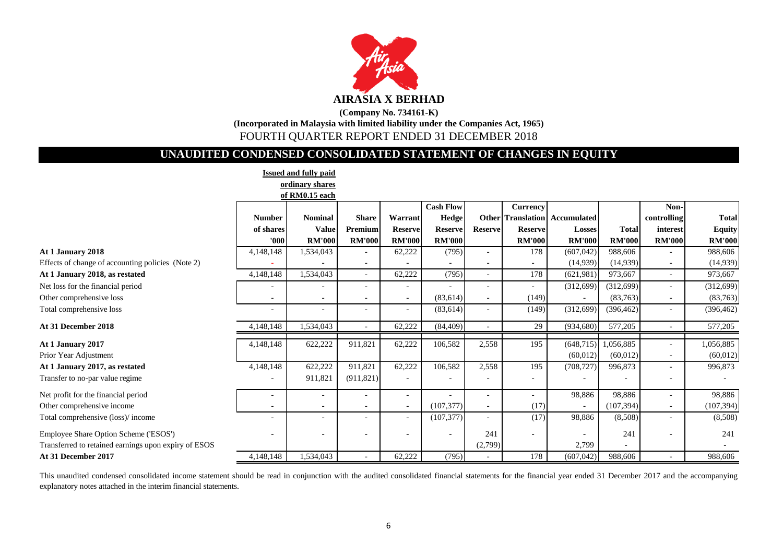

## **(Company No. 734161-K) (Incorporated in Malaysia with limited liability under the Companies Act, 1965)** FOURTH QUARTER REPORT ENDED 31 DECEMBER 2018

## **UNAUDITED CONDENSED CONSOLIDATED STATEMENT OF CHANGES IN EQUITY**

|                                                      |                          | <b>Issued and fully paid</b> |                          |                          |                          |                          |                          |               |               |                          |               |
|------------------------------------------------------|--------------------------|------------------------------|--------------------------|--------------------------|--------------------------|--------------------------|--------------------------|---------------|---------------|--------------------------|---------------|
|                                                      |                          | ordinary shares              |                          |                          |                          |                          |                          |               |               |                          |               |
|                                                      |                          | of RM0.15 each               |                          |                          |                          |                          |                          |               |               |                          |               |
|                                                      |                          |                              |                          |                          | <b>Cash Flow</b>         |                          | Currency                 |               |               | Non-                     |               |
|                                                      | <b>Number</b>            | <b>Nominal</b>               | <b>Share</b>             | Warrant                  | Hedge                    |                          | <b>Other</b> Translation | Accumulated   |               | controlling              | <b>Total</b>  |
|                                                      | of shares                | <b>Value</b>                 | Premium                  | <b>Reserve</b>           | <b>Reserve</b>           | <b>Reserve</b>           | <b>Reserve</b>           | Losses        | <b>Total</b>  | interest                 | <b>Equity</b> |
|                                                      | '000'                    | <b>RM'000</b>                | <b>RM'000</b>            | <b>RM'000</b>            | <b>RM'000</b>            |                          | <b>RM'000</b>            | <b>RM'000</b> | <b>RM'000</b> | <b>RM'000</b>            | <b>RM'000</b> |
| At 1 January 2018                                    | 4,148,148                | 1,534,043                    |                          | 62,222                   | (795)                    | $\overline{\phantom{a}}$ | 178                      | (607, 042)    | 988,606       |                          | 988,606       |
| Effects of change of accounting policies (Note 2)    |                          |                              |                          |                          |                          |                          |                          | (14,939)      | (14,939)      |                          | (14,939)      |
| At 1 January 2018, as restated                       | 4,148,148                | 1,534,043                    |                          | 62,222                   | (795)                    |                          | 178                      | (621, 981)    | 973,667       |                          | 973,667       |
| Net loss for the financial period                    |                          |                              |                          |                          |                          |                          |                          | (312,699)     | (312, 699)    |                          | (312, 699)    |
| Other comprehensive loss                             |                          | $\blacksquare$               |                          | $\blacksquare$           | (83, 614)                |                          | (149)                    |               | (83,763)      |                          | (83,763)      |
| Total comprehensive loss                             | $\overline{\phantom{a}}$ | $\blacksquare$               | $\overline{\phantom{a}}$ | $\sim$                   | (83, 614)                |                          | (149)                    | (312, 699)    | (396, 462)    | $\overline{\phantom{a}}$ | (396, 462)    |
| At 31 December 2018                                  | 4,148,148                | 1,534,043                    | $\sim$                   | 62,222                   | (84, 409)                | $\sim$                   | 29                       | (934, 680)    | 577,205       | $\overline{\phantom{a}}$ | 577,205       |
| At 1 January 2017                                    | 4,148,148                | 622,222                      | 911,821                  | 62,222                   | 106,582                  | 2,558                    | 195                      | (648, 715)    | ,056,885      |                          | 1,056,885     |
| Prior Year Adjustment                                |                          |                              |                          |                          |                          |                          |                          | (60, 012)     | (60, 012)     |                          | (60, 012)     |
| At 1 January 2017, as restated                       | 4,148,148                | 622,222                      | 911,821                  | 62,222                   | 106,582                  | 2,558                    | 195                      | (708, 727)    | 996,873       |                          | 996,873       |
| Transfer to no-par value regime                      |                          | 911,821                      | (911, 821)               |                          |                          |                          |                          |               |               |                          |               |
| Net profit for the financial period                  |                          | $\overline{\phantom{a}}$     |                          | $\overline{\phantom{a}}$ |                          |                          |                          | 98,886        | 98,886        | $\sim$                   | 98,886        |
| Other comprehensive income                           |                          | $\sim$                       | $\overline{\phantom{a}}$ | $\blacksquare$           | (107, 377)               | $\overline{\phantom{a}}$ | (17)                     | ٠             | (107, 394)    | $\sim$                   | (107, 394)    |
| Total comprehensive (loss)/income                    |                          | $\blacksquare$               |                          | $\overline{\phantom{a}}$ | (107, 377)               |                          | (17)                     | 98,886        | (8,508)       |                          | (8,508)       |
| Employee Share Option Scheme ('ESOS')                |                          | $\qquad \qquad -$            |                          |                          | $\overline{\phantom{a}}$ | 241                      |                          |               | 241           |                          | 241           |
| Transferred to retained earnings upon expiry of ESOS |                          |                              |                          |                          |                          | (2,799)                  |                          | 2,799         |               |                          |               |
| At 31 December 2017                                  | 4,148,148                | 1,534,043                    |                          | 62,222                   | (795)                    |                          | 178                      | (607, 042)    | 988,606       |                          | 988,606       |

This unaudited condensed consolidated income statement should be read in conjunction with the audited consolidated financial statements for the financial year ended 31 December 2017 and the accompanying explanatory notes attached in the interim financial statements.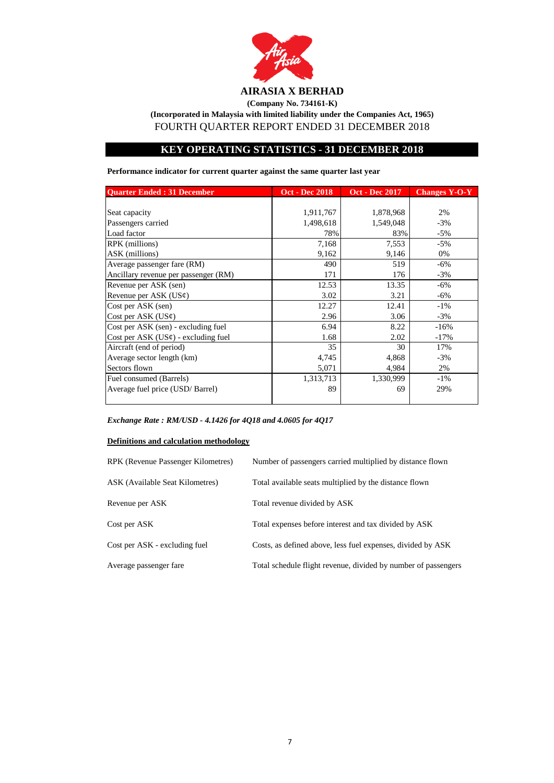

**(Company No. 734161-K)**

**(Incorporated in Malaysia with limited liability under the Companies Act, 1965)**

FOURTH QUARTER REPORT ENDED 31 DECEMBER 2018

## **KEY OPERATING STATISTICS - 31 DECEMBER 2018**

**Performance indicator for current quarter against the same quarter last year**

| <b>Ouarter Ended: 31 December</b>        | <b>Oct - Dec 2018</b> | <b>Oct - Dec 2017</b> | <b>Changes Y-O-Y</b> |
|------------------------------------------|-----------------------|-----------------------|----------------------|
|                                          |                       |                       |                      |
| Seat capacity                            | 1,911,767             | 1,878,968             | 2%                   |
| Passengers carried                       | 1,498,618             | 1,549,048             | $-3%$                |
| Load factor                              | 78%                   | 83%                   | $-5%$                |
| RPK (millions)                           | 7,168                 | 7,553                 | $-5%$                |
| ASK (millions)                           | 9,162                 | 9,146                 | 0%                   |
| Average passenger fare (RM)              | 490                   | 519                   | $-6%$                |
| Ancillary revenue per passenger (RM)     | 171                   | 176                   | $-3%$                |
| Revenue per ASK (sen)                    | 12.53                 | 13.35                 | $-6\%$               |
| Revenue per ASK $(US\varphi)$            | 3.02                  | 3.21                  | $-6%$                |
| Cost per ASK (sen)                       | 12.27                 | 12.41                 | $-1\%$               |
| Cost per ASK $(US\varphi)$               | 2.96                  | 3.06                  | $-3%$                |
| Cost per ASK (sen) - excluding fuel      | 6.94                  | 8.22                  | $-16%$               |
| Cost per ASK $(US\phi)$ - excluding fuel | 1.68                  | 2.02                  | $-17%$               |
| Aircraft (end of period)                 | 35                    | 30                    | 17%                  |
| Average sector length (km)               | 4,745                 | 4,868                 | $-3%$                |
| Sectors flown                            | 5,071                 | 4,984                 | 2%                   |
| Fuel consumed (Barrels)                  | 1,313,713             | 1,330,999             | $-1\%$               |
| Average fuel price (USD/Barrel)          | 89                    | 69                    | 29%                  |
|                                          |                       |                       |                      |

*Exchange Rate : RM/USD - 4.1426 for 4Q18 and 4.0605 for 4Q17*

### **Definitions and calculation methodology**

| RPK (Revenue Passenger Kilometres) | Number of passengers carried multiplied by distance flown      |
|------------------------------------|----------------------------------------------------------------|
| ASK (Available Seat Kilometres)    | Total available seats multiplied by the distance flown         |
| Revenue per ASK                    | Total revenue divided by ASK                                   |
| Cost per ASK                       | Total expenses before interest and tax divided by ASK          |
| Cost per ASK - excluding fuel      | Costs, as defined above, less fuel expenses, divided by ASK    |
| Average passenger fare             | Total schedule flight revenue, divided by number of passengers |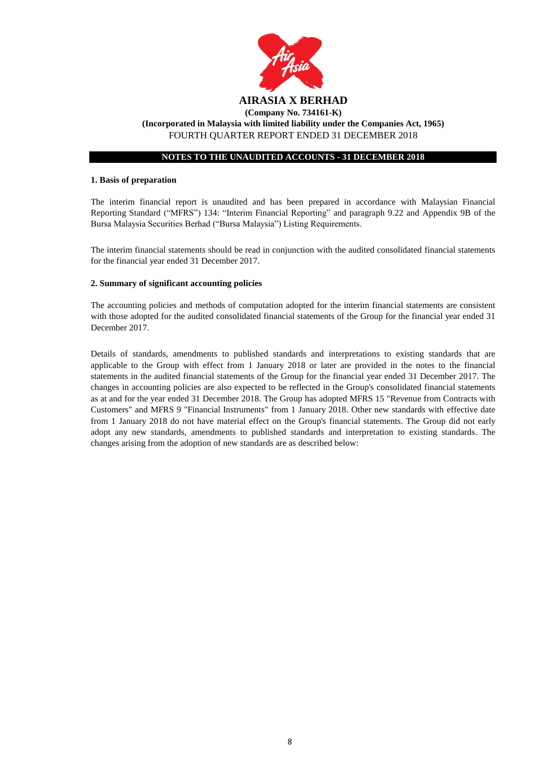

#### **1. Basis of preparation**

The interim financial report is unaudited and has been prepared in accordance with Malaysian Financial Reporting Standard ("MFRS") 134: "Interim Financial Reporting" and paragraph 9.22 and Appendix 9B of the Bursa Malaysia Securities Berhad ("Bursa Malaysia") Listing Requirements.

The interim financial statements should be read in conjunction with the audited consolidated financial statements for the financial year ended 31 December 2017.

#### **2. Summary of significant accounting policies**

The accounting policies and methods of computation adopted for the interim financial statements are consistent with those adopted for the audited consolidated financial statements of the Group for the financial year ended 31 December 2017.

Details of standards, amendments to published standards and interpretations to existing standards that are applicable to the Group with effect from 1 January 2018 or later are provided in the notes to the financial statements in the audited financial statements of the Group for the financial year ended 31 December 2017. The changes in accounting policies are also expected to be reflected in the Group's consolidated financial statements as at and for the year ended 31 December 2018. The Group has adopted MFRS 15 "Revenue from Contracts with Customers" and MFRS 9 "Financial Instruments" from 1 January 2018. Other new standards with effective date from 1 January 2018 do not have material effect on the Group's financial statements. The Group did not early adopt any new standards, amendments to published standards and interpretation to existing standards. The changes arising from the adoption of new standards are as described below: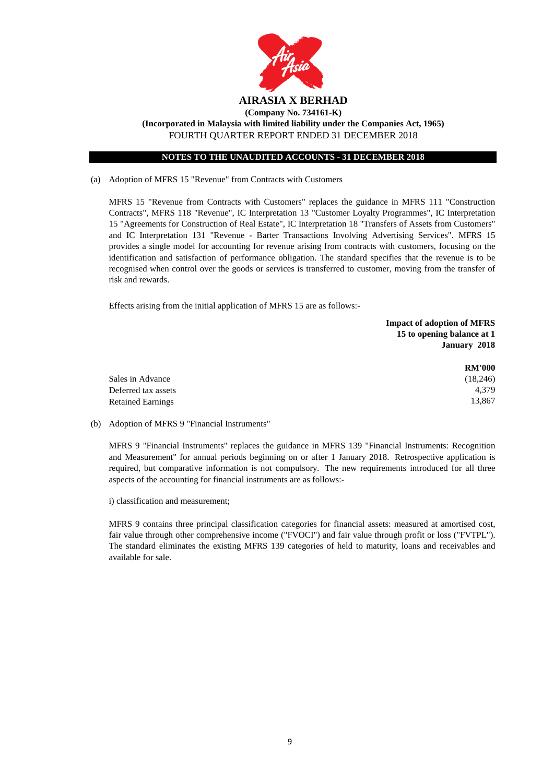

FOURTH QUARTER REPORT ENDED 31 DECEMBER 2018

### **NOTES TO THE UNAUDITED ACCOUNTS - 31 DECEMBER 2018**

(a) Adoption of MFRS 15 "Revenue" from Contracts with Customers

MFRS 15 "Revenue from Contracts with Customers" replaces the guidance in MFRS 111 "Construction Contracts", MFRS 118 "Revenue", IC Interpretation 13 "Customer Loyalty Programmes", IC Interpretation 15 "Agreements for Construction of Real Estate", IC Interpretation 18 "Transfers of Assets from Customers" and IC Interpretation 131 "Revenue - Barter Transactions Involving Advertising Services". MFRS 15 provides a single model for accounting for revenue arising from contracts with customers, focusing on the identification and satisfaction of performance obligation. The standard specifies that the revenue is to be recognised when control over the goods or services is transferred to customer, moving from the transfer of risk and rewards.

Effects arising from the initial application of MFRS 15 are as follows:-

|                          | <b>Impact of adoption of MFRS</b> |
|--------------------------|-----------------------------------|
|                          | 15 to opening balance at 1        |
|                          | January 2018                      |
|                          | <b>RM'000</b>                     |
| Sales in Advance         | (18,246)                          |
| Deferred tax assets      | 4.379                             |
| <b>Retained Earnings</b> | 13.867                            |

(b) Adoption of MFRS 9 "Financial Instruments"

MFRS 9 "Financial Instruments" replaces the guidance in MFRS 139 "Financial Instruments: Recognition and Measurement" for annual periods beginning on or after 1 January 2018. Retrospective application is required, but comparative information is not compulsory. The new requirements introduced for all three aspects of the accounting for financial instruments are as follows:-

i) classification and measurement;

MFRS 9 contains three principal classification categories for financial assets: measured at amortised cost, fair value through other comprehensive income ("FVOCI") and fair value through profit or loss ("FVTPL"). The standard eliminates the existing MFRS 139 categories of held to maturity, loans and receivables and available for sale.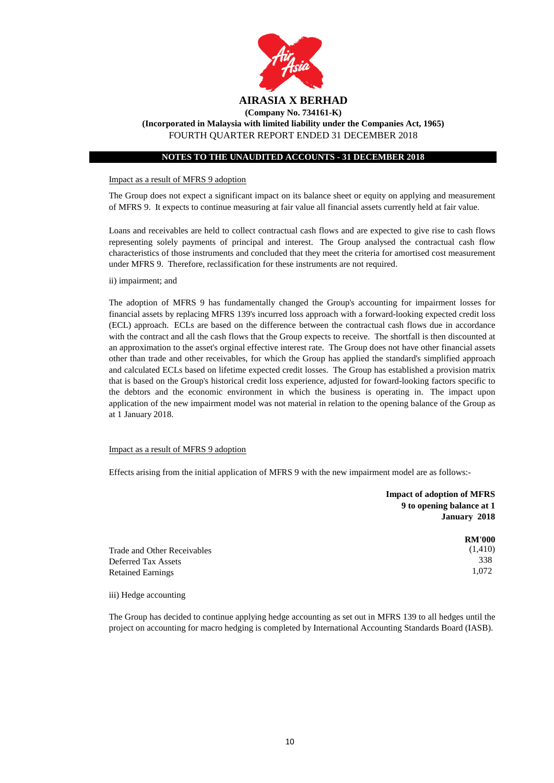

#### Impact as a result of MFRS 9 adoption

The Group does not expect a significant impact on its balance sheet or equity on applying and measurement of MFRS 9. It expects to continue measuring at fair value all financial assets currently held at fair value.

Loans and receivables are held to collect contractual cash flows and are expected to give rise to cash flows representing solely payments of principal and interest. The Group analysed the contractual cash flow characteristics of those instruments and concluded that they meet the criteria for amortised cost measurement under MFRS 9. Therefore, reclassification for these instruments are not required.

ii) impairment; and

The adoption of MFRS 9 has fundamentally changed the Group's accounting for impairment losses for financial assets by replacing MFRS 139's incurred loss approach with a forward-looking expected credit loss (ECL) approach. ECLs are based on the difference between the contractual cash flows due in accordance with the contract and all the cash flows that the Group expects to receive. The shortfall is then discounted at an approximation to the asset's orginal effective interest rate. The Group does not have other financial assets other than trade and other receivables, for which the Group has applied the standard's simplified approach and calculated ECLs based on lifetime expected credit losses. The Group has established a provision matrix that is based on the Group's historical credit loss experience, adjusted for foward-looking factors specific to the debtors and the economic environment in which the business is operating in. The impact upon application of the new impairment model was not material in relation to the opening balance of the Group as at 1 January 2018.

#### Impact as a result of MFRS 9 adoption

Effects arising from the initial application of MFRS 9 with the new impairment model are as follows:-

|                             | <b>Impact of adoption of MFRS</b><br>9 to opening balance at 1<br>January 2018 |
|-----------------------------|--------------------------------------------------------------------------------|
|                             | <b>RM'000</b>                                                                  |
| Trade and Other Receivables | (1,410)                                                                        |
| Deferred Tax Assets         | 338                                                                            |
| <b>Retained Earnings</b>    | 1,072                                                                          |

iii) Hedge accounting

The Group has decided to continue applying hedge accounting as set out in MFRS 139 to all hedges until the project on accounting for macro hedging is completed by International Accounting Standards Board (IASB).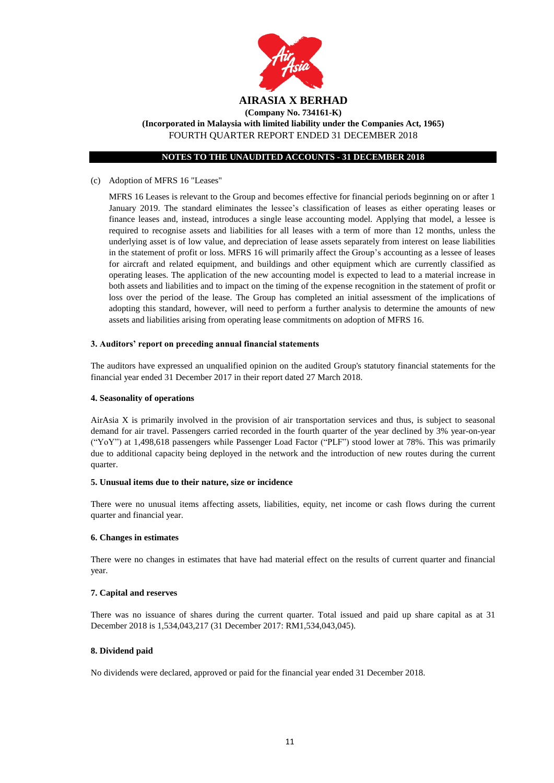

**(Company No. 734161-K)**

**(Incorporated in Malaysia with limited liability under the Companies Act, 1965)** FOURTH QUARTER REPORT ENDED 31 DECEMBER 2018

#### **NOTES TO THE UNAUDITED ACCOUNTS - 31 DECEMBER 2018**

#### (c) Adoption of MFRS 16 "Leases"

MFRS 16 Leases is relevant to the Group and becomes effective for financial periods beginning on or after 1 January 2019. The standard eliminates the lessee's classification of leases as either operating leases or finance leases and, instead, introduces a single lease accounting model. Applying that model, a lessee is required to recognise assets and liabilities for all leases with a term of more than 12 months, unless the underlying asset is of low value, and depreciation of lease assets separately from interest on lease liabilities in the statement of profit or loss. MFRS 16 will primarily affect the Group's accounting as a lessee of leases for aircraft and related equipment, and buildings and other equipment which are currently classified as operating leases. The application of the new accounting model is expected to lead to a material increase in both assets and liabilities and to impact on the timing of the expense recognition in the statement of profit or loss over the period of the lease. The Group has completed an initial assessment of the implications of adopting this standard, however, will need to perform a further analysis to determine the amounts of new assets and liabilities arising from operating lease commitments on adoption of MFRS 16.

#### **3. Auditors' report on preceding annual financial statements**

The auditors have expressed an unqualified opinion on the audited Group's statutory financial statements for the financial year ended 31 December 2017 in their report dated 27 March 2018.

#### **4. Seasonality of operations**

AirAsia X is primarily involved in the provision of air transportation services and thus, is subject to seasonal demand for air travel. Passengers carried recorded in the fourth quarter of the year declined by 3% year-on-year ("YoY") at 1,498,618 passengers while Passenger Load Factor ("PLF") stood lower at 78%. This was primarily due to additional capacity being deployed in the network and the introduction of new routes during the current quarter.

#### **5. Unusual items due to their nature, size or incidence**

There were no unusual items affecting assets, liabilities, equity, net income or cash flows during the current quarter and financial year.

#### **6. Changes in estimates**

There were no changes in estimates that have had material effect on the results of current quarter and financial year.

#### **7. Capital and reserves**

There was no issuance of shares during the current quarter. Total issued and paid up share capital as at 31 December 2018 is 1,534,043,217 (31 December 2017: RM1,534,043,045).

#### **8. Dividend paid**

No dividends were declared, approved or paid for the financial year ended 31 December 2018.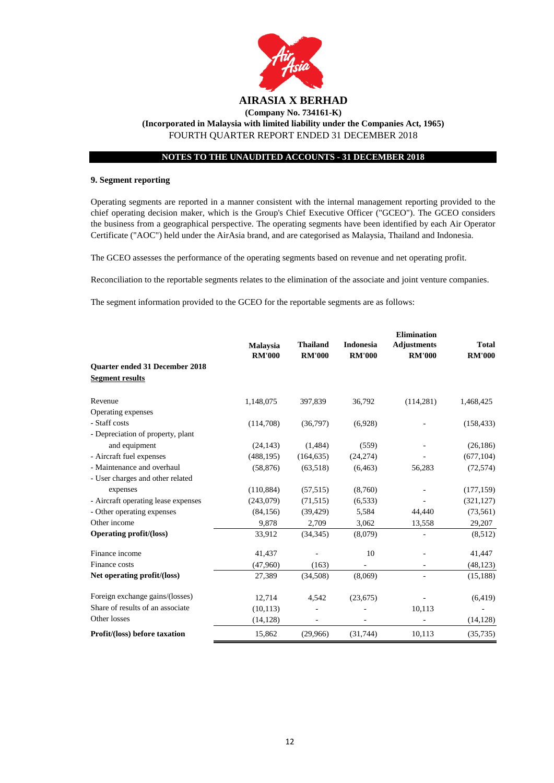

#### **9. Segment reporting**

Operating segments are reported in a manner consistent with the internal management reporting provided to the chief operating decision maker, which is the Group's Chief Executive Officer ("GCEO"). The GCEO considers the business from a geographical perspective. The operating segments have been identified by each Air Operator Certificate ("AOC") held under the AirAsia brand, and are categorised as Malaysia, Thailand and Indonesia.

The GCEO assesses the performance of the operating segments based on revenue and net operating profit.

Reconciliation to the reportable segments relates to the elimination of the associate and joint venture companies.

The segment information provided to the GCEO for the reportable segments are as follows:

|                                       |                                  |                                  |                                   | <b>Elimination</b>                  |                               |
|---------------------------------------|----------------------------------|----------------------------------|-----------------------------------|-------------------------------------|-------------------------------|
|                                       | <b>Malaysia</b><br><b>RM'000</b> | <b>Thailand</b><br><b>RM'000</b> | <b>Indonesia</b><br><b>RM'000</b> | <b>Adjustments</b><br><b>RM'000</b> | <b>Total</b><br><b>RM'000</b> |
| <b>Ouarter ended 31 December 2018</b> |                                  |                                  |                                   |                                     |                               |
| <b>Segment results</b>                |                                  |                                  |                                   |                                     |                               |
|                                       |                                  |                                  |                                   |                                     |                               |
| Revenue                               | 1,148,075                        | 397,839                          | 36,792                            | (114, 281)                          | 1,468,425                     |
| Operating expenses                    |                                  |                                  |                                   |                                     |                               |
| - Staff costs                         | (114,708)                        | (36,797)                         | (6,928)                           |                                     | (158, 433)                    |
| - Depreciation of property, plant     |                                  |                                  |                                   |                                     |                               |
| and equipment                         | (24, 143)                        | (1,484)                          | (559)                             |                                     | (26, 186)                     |
| - Aircraft fuel expenses              | (488, 195)                       | (164, 635)                       | (24, 274)                         |                                     | (677, 104)                    |
| - Maintenance and overhaul            | (58, 876)                        | (63,518)                         | (6, 463)                          | 56,283                              | (72, 574)                     |
| - User charges and other related      |                                  |                                  |                                   |                                     |                               |
| expenses                              | (110, 884)                       | (57, 515)                        | (8,760)                           |                                     | (177, 159)                    |
| - Aircraft operating lease expenses   | (243,079)                        | (71, 515)                        | (6, 533)                          |                                     | (321, 127)                    |
| - Other operating expenses            | (84, 156)                        | (39, 429)                        | 5,584                             | 44,440                              | (73, 561)                     |
| Other income                          | 9,878                            | 2,709                            | 3,062                             | 13,558                              | 29,207                        |
| <b>Operating profit/(loss)</b>        | 33,912                           | (34, 345)                        | (8,079)                           |                                     | (8,512)                       |
| Finance income                        | 41,437                           |                                  | 10                                |                                     | 41,447                        |
| Finance costs                         | (47,960)                         | (163)                            |                                   |                                     | (48, 123)                     |
| Net operating profit/(loss)           | 27,389                           | (34,508)                         | (8,069)                           |                                     | (15, 188)                     |
| Foreign exchange gains/(losses)       | 12,714                           | 4,542                            | (23,675)                          |                                     | (6, 419)                      |
| Share of results of an associate      | (10, 113)                        |                                  |                                   | 10,113                              |                               |
| Other losses                          | (14, 128)                        |                                  |                                   |                                     | (14, 128)                     |
| Profit/(loss) before taxation         | 15,862                           | (29,966)                         | (31,744)                          | 10,113                              | (35, 735)                     |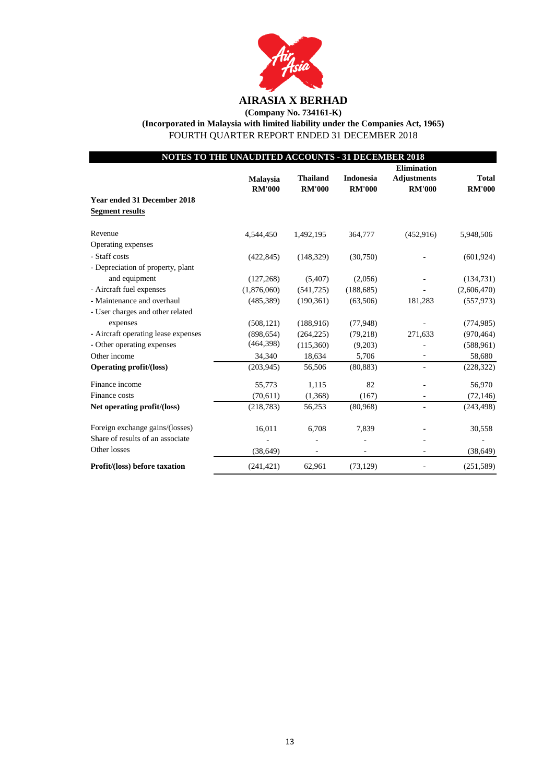

**(Company No. 734161-K)**

**(Incorporated in Malaysia with limited liability under the Companies Act, 1965)**

FOURTH QUARTER REPORT ENDED 31 DECEMBER 2018

| NOTES TO THE UNAUDITED ACCOUNTS - 31 DECEMBER 2018 |                 |                 |               |                    |               |  |  |  |
|----------------------------------------------------|-----------------|-----------------|---------------|--------------------|---------------|--|--|--|
|                                                    |                 |                 |               | <b>Elimination</b> |               |  |  |  |
|                                                    | <b>Malaysia</b> | <b>Thailand</b> | Indonesia     | <b>Adjustments</b> | <b>Total</b>  |  |  |  |
|                                                    | <b>RM'000</b>   | <b>RM'000</b>   | <b>RM'000</b> | <b>RM'000</b>      | <b>RM'000</b> |  |  |  |
| <b>Year ended 31 December 2018</b>                 |                 |                 |               |                    |               |  |  |  |
| <b>Segment results</b>                             |                 |                 |               |                    |               |  |  |  |
| Revenue                                            | 4,544,450       | 1,492,195       | 364,777       | (452, 916)         | 5,948,506     |  |  |  |
| Operating expenses                                 |                 |                 |               |                    |               |  |  |  |
| - Staff costs                                      | (422, 845)      | (148, 329)      | (30,750)      |                    | (601, 924)    |  |  |  |
| - Depreciation of property, plant                  |                 |                 |               |                    |               |  |  |  |
| and equipment                                      | (127, 268)      | (5,407)         | (2,056)       |                    | (134, 731)    |  |  |  |
| - Aircraft fuel expenses                           | (1,876,060)     | (541, 725)      | (188, 685)    |                    | (2,606,470)   |  |  |  |
| - Maintenance and overhaul                         | (485, 389)      | (190, 361)      | (63, 506)     | 181,283            | (557, 973)    |  |  |  |
| - User charges and other related                   |                 |                 |               |                    |               |  |  |  |
| expenses                                           | (508, 121)      | (188,916)       | (77,948)      |                    | (774, 985)    |  |  |  |
| - Aircraft operating lease expenses                | (898, 654)      | (264, 225)      | (79,218)      | 271,633            | (970, 464)    |  |  |  |
| - Other operating expenses                         | (464,398)       | (115,360)       | (9,203)       |                    | (588, 961)    |  |  |  |
| Other income                                       | 34,340          | 18,634          | 5,706         |                    | 58,680        |  |  |  |
| <b>Operating profit/(loss)</b>                     | (203, 945)      | 56,506          | (80, 883)     |                    | (228, 322)    |  |  |  |
| Finance income                                     | 55,773          | 1,115           | 82            |                    | 56,970        |  |  |  |
| Finance costs                                      | (70,611)        | (1,368)         | (167)         |                    | (72, 146)     |  |  |  |
| Net operating profit/(loss)                        | (218, 783)      | 56,253          | (80,968)      |                    | (243, 498)    |  |  |  |
| Foreign exchange gains/(losses)                    | 16,011          | 6,708           | 7,839         |                    | 30,558        |  |  |  |
| Share of results of an associate                   |                 |                 |               |                    |               |  |  |  |
| Other losses                                       | (38, 649)       |                 |               |                    | (38, 649)     |  |  |  |
| Profit/(loss) before taxation                      | (241, 421)      | 62,961          | (73, 129)     |                    | (251, 589)    |  |  |  |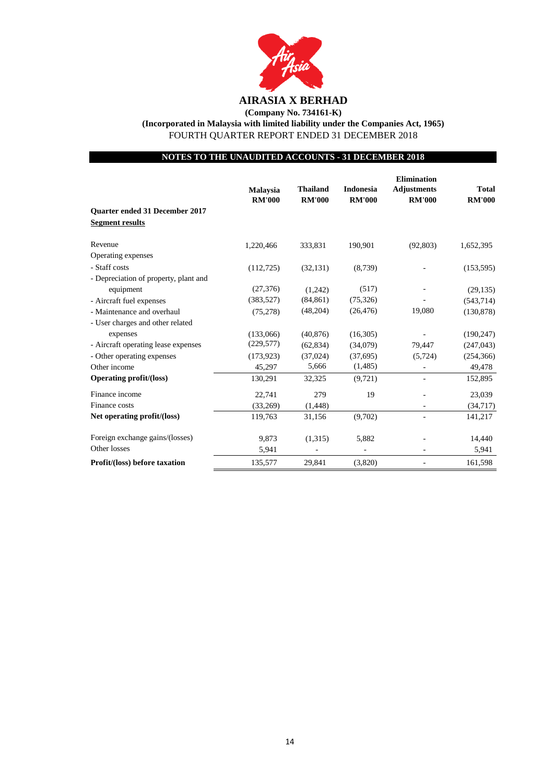

**(Company No. 734161-K)**

**(Incorporated in Malaysia with limited liability under the Companies Act, 1965)**

FOURTH QUARTER REPORT ENDED 31 DECEMBER 2018

## **NOTES TO THE UNAUDITED ACCOUNTS - 31 DECEMBER 2018**

|                                                                 | <b>Malaysia</b><br><b>RM'000</b> | <b>Thailand</b><br><b>RM'000</b> | <b>Indonesia</b><br><b>RM'000</b> | <b>Elimination</b><br><b>Adjustments</b><br><b>RM'000</b> | <b>Total</b><br><b>RM'000</b> |
|-----------------------------------------------------------------|----------------------------------|----------------------------------|-----------------------------------|-----------------------------------------------------------|-------------------------------|
| <b>Ouarter ended 31 December 2017</b><br><b>Segment results</b> |                                  |                                  |                                   |                                                           |                               |
| Revenue                                                         | 1,220,466                        | 333,831                          | 190,901                           | (92,803)                                                  | 1,652,395                     |
| Operating expenses                                              |                                  |                                  |                                   |                                                           |                               |
| - Staff costs                                                   | (112, 725)                       | (32, 131)                        | (8,739)                           |                                                           | (153, 595)                    |
| - Depreciation of property, plant and                           |                                  |                                  |                                   |                                                           |                               |
| equipment                                                       | (27, 376)                        | (1,242)                          | (517)                             |                                                           | (29, 135)                     |
| - Aircraft fuel expenses                                        | (383, 527)                       | (84, 861)                        | (75, 326)                         |                                                           | (543, 714)                    |
| - Maintenance and overhaul                                      | (75, 278)                        | (48,204)                         | (26, 476)                         | 19,080                                                    | (130, 878)                    |
| - User charges and other related                                |                                  |                                  |                                   |                                                           |                               |
| expenses                                                        | (133,066)                        | (40, 876)                        | (16,305)                          |                                                           | (190, 247)                    |
| - Aircraft operating lease expenses                             | (229, 577)                       | (62, 834)                        | (34,079)                          | 79,447                                                    | (247, 043)                    |
| - Other operating expenses                                      | (173, 923)                       | (37,024)                         | (37,695)                          | (5, 724)                                                  | (254, 366)                    |
| Other income                                                    | 45,297                           | 5,666                            | (1,485)                           |                                                           | 49,478                        |
| <b>Operating profit/(loss)</b>                                  | 130,291                          | 32,325                           | (9, 721)                          |                                                           | 152,895                       |
| Finance income                                                  | 22,741                           | 279                              | 19                                |                                                           | 23,039                        |
| Finance costs                                                   | (33,269)                         | (1, 448)                         |                                   |                                                           | (34, 717)                     |
| Net operating profit/(loss)                                     | 119,763                          | 31,156                           | (9,702)                           |                                                           | 141,217                       |
| Foreign exchange gains/(losses)                                 | 9,873                            | (1,315)                          | 5,882                             |                                                           | 14,440                        |
| Other losses                                                    | 5,941                            |                                  |                                   |                                                           | 5,941                         |
| Profit/(loss) before taxation                                   | 135,577                          | 29,841                           | (3,820)                           |                                                           | 161,598                       |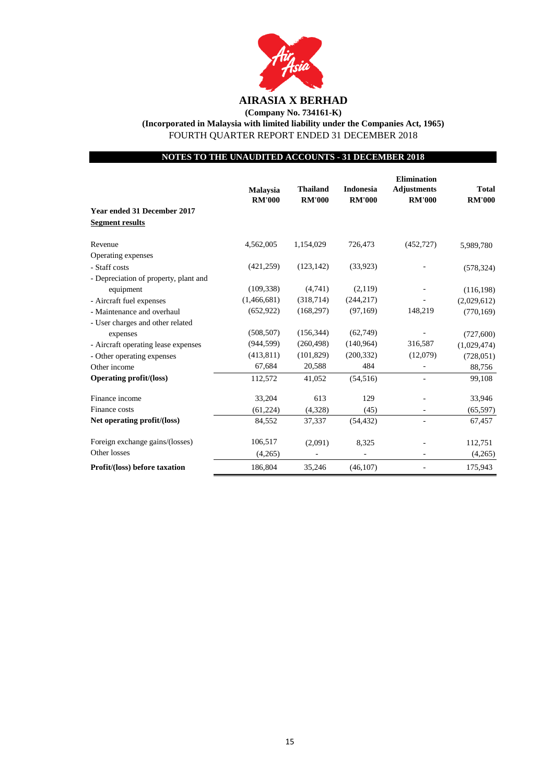

**(Company No. 734161-K)**

**(Incorporated in Malaysia with limited liability under the Companies Act, 1965)**

FOURTH QUARTER REPORT ENDED 31 DECEMBER 2018

## **NOTES TO THE UNAUDITED ACCOUNTS - 31 DECEMBER 2018**

|                                                              | <b>Malaysia</b><br><b>RM'000</b> | <b>Thailand</b><br><b>RM'000</b> | <b>Indonesia</b><br><b>RM'000</b> | <b>Elimination</b><br><b>Adjustments</b><br><b>RM'000</b> | <b>Total</b><br><b>RM'000</b> |
|--------------------------------------------------------------|----------------------------------|----------------------------------|-----------------------------------|-----------------------------------------------------------|-------------------------------|
| <b>Year ended 31 December 2017</b><br><b>Segment results</b> |                                  |                                  |                                   |                                                           |                               |
| Revenue                                                      | 4,562,005                        | 1,154,029                        | 726,473                           | (452, 727)                                                | 5,989,780                     |
| Operating expenses                                           |                                  |                                  |                                   |                                                           |                               |
| - Staff costs                                                | (421, 259)                       | (123, 142)                       | (33,923)                          |                                                           | (578, 324)                    |
| - Depreciation of property, plant and                        |                                  |                                  |                                   |                                                           |                               |
| equipment                                                    | (109, 338)                       | (4,741)                          | (2,119)                           |                                                           | (116, 198)                    |
| - Aircraft fuel expenses                                     | (1,466,681)                      | (318,714)                        | (244, 217)                        |                                                           | (2,029,612)                   |
| - Maintenance and overhaul                                   | (652, 922)                       | (168, 297)                       | (97,169)                          | 148,219                                                   | (770, 169)                    |
| - User charges and other related                             |                                  |                                  |                                   |                                                           |                               |
| expenses                                                     | (508, 507)                       | (156, 344)                       | (62,749)                          |                                                           | (727, 600)                    |
| - Aircraft operating lease expenses                          | (944, 599)                       | (260, 498)                       | (140, 964)                        | 316,587                                                   | (1,029,474)                   |
| - Other operating expenses                                   | (413, 811)                       | (101, 829)                       | (200, 332)                        | (12,079)                                                  | (728, 051)                    |
| Other income                                                 | 67,684                           | 20,588                           | 484                               |                                                           | 88,756                        |
| <b>Operating profit/(loss)</b>                               | 112,572                          | 41,052                           | (54, 516)                         |                                                           | 99,108                        |
| Finance income                                               | 33,204                           | 613                              | 129                               |                                                           | 33,946                        |
| Finance costs                                                | (61, 224)                        | (4,328)                          | (45)                              | ٠                                                         | (65, 597)                     |
| Net operating profit/(loss)                                  | 84,552                           | 37,337                           | (54, 432)                         |                                                           | 67,457                        |
| Foreign exchange gains/(losses)                              | 106,517                          | (2,091)                          | 8,325                             |                                                           | 112,751                       |
| Other losses                                                 | (4,265)                          |                                  | $\qquad \qquad \blacksquare$      |                                                           | (4,265)                       |
| Profit/(loss) before taxation                                | 186,804                          | 35,246                           | (46, 107)                         |                                                           | 175,943                       |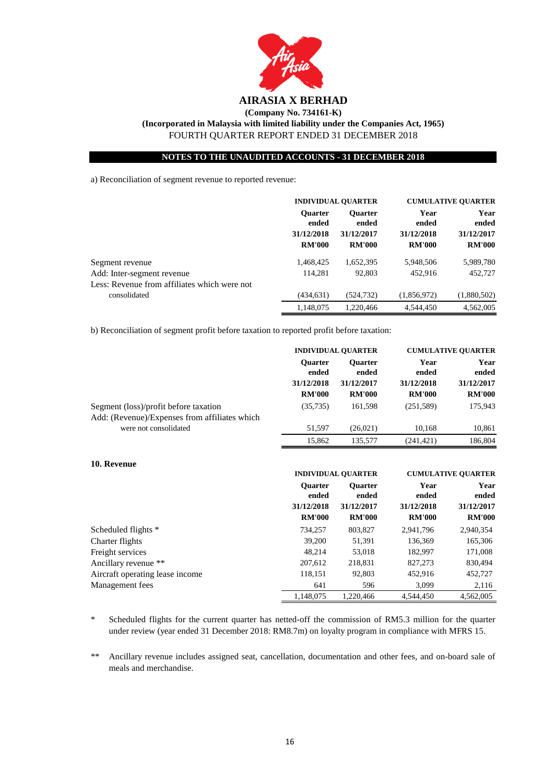

a) Reconciliation of segment revenue to reported revenue:

|                                                                            | <b>INDIVIDUAL QUARTER</b>                              |                                                        | <b>CUMULATIVE QUARTER</b>                    |                                              |
|----------------------------------------------------------------------------|--------------------------------------------------------|--------------------------------------------------------|----------------------------------------------|----------------------------------------------|
|                                                                            | <b>Ouarter</b><br>ended<br>31/12/2018<br><b>RM'000</b> | <b>Ouarter</b><br>ended<br>31/12/2017<br><b>RM'000</b> | Year<br>ended<br>31/12/2018<br><b>RM'000</b> | Year<br>ended<br>31/12/2017<br><b>RM'000</b> |
| Segment revenue                                                            | 1,468,425                                              | 1,652,395                                              | 5,948,506                                    | 5,989,780                                    |
| Add: Inter-segment revenue<br>Less: Revenue from affiliates which were not | 114.281                                                | 92.803                                                 | 452.916                                      | 452,727                                      |
| consolidated                                                               | (434, 631)                                             | (524, 732)                                             | (1,856,972)                                  | (1,880,502)                                  |
|                                                                            | 1,148,075                                              | 1.220.466                                              | 4,544,450                                    | 4,562,005                                    |

b) Reconciliation of segment profit before taxation to reported profit before taxation:

|                                                                                        | <b>INDIVIDUAL QUARTER</b> |                         | <b>CUMULATIVE OUARTER</b> |               |
|----------------------------------------------------------------------------------------|---------------------------|-------------------------|---------------------------|---------------|
|                                                                                        | <b>Ouarter</b><br>ended   | <b>Ouarter</b><br>ended | Year<br>ended             | Year<br>ended |
|                                                                                        | 31/12/2018                | 31/12/2017              | 31/12/2018                | 31/12/2017    |
|                                                                                        | <b>RM'000</b>             | <b>RM'000</b>           | <b>RM'000</b>             | <b>RM'000</b> |
| Segment (loss)/profit before taxation<br>Add: (Revenue)/Expenses from affiliates which | (35, 735)                 | 161,598                 | (251, 589)                | 175,943       |
| were not consolidated                                                                  | 51,597                    | (26,021)                | 10,168                    | 10,861        |
|                                                                                        | 15.862                    | 135,577                 | (241.421)                 | 186.804       |

| 10. Revenue                     |                         |                                          |               |                           |  |               |
|---------------------------------|-------------------------|------------------------------------------|---------------|---------------------------|--|---------------|
|                                 |                         | <b>INDIVIDUAL OUARTER</b>                |               | <b>CUMULATIVE QUARTER</b> |  |               |
|                                 | <b>Ouarter</b><br>ended | Year<br><b>Ouarter</b><br>ended<br>ended |               |                           |  | Year<br>ended |
|                                 | 31/12/2018              | 31/12/2017                               | 31/12/2018    | 31/12/2017                |  |               |
|                                 | <b>RM'000</b>           | <b>RM'000</b>                            | <b>RM'000</b> | <b>RM'000</b>             |  |               |
| Scheduled flights *             | 734,257                 | 803,827                                  | 2,941,796     | 2,940,354                 |  |               |
| Charter flights                 | 39,200                  | 51,391                                   | 136.369       | 165,306                   |  |               |
| Freight services                | 48.214                  | 53,018                                   | 182.997       | 171,008                   |  |               |
| Ancillary revenue **            | 207,612                 | 218,831                                  | 827,273       | 830,494                   |  |               |
| Aircraft operating lease income | 118,151                 | 92,803                                   | 452.916       | 452,727                   |  |               |
| Management fees                 | 641                     | 596                                      | 3,099         | 2,116                     |  |               |
|                                 | 1.148.075               | 1.220.466                                | 4.544.450     | 4.562.005                 |  |               |

 $\ast$ Scheduled flights for the current quarter has netted-off the commission of RM5.3 million for the quarter under review (year ended 31 December 2018: RM8.7m) on loyalty program in compliance with MFRS 15.

\*\* Ancillary revenue includes assigned seat, cancellation, documentation and other fees, and on-board sale of meals and merchandise.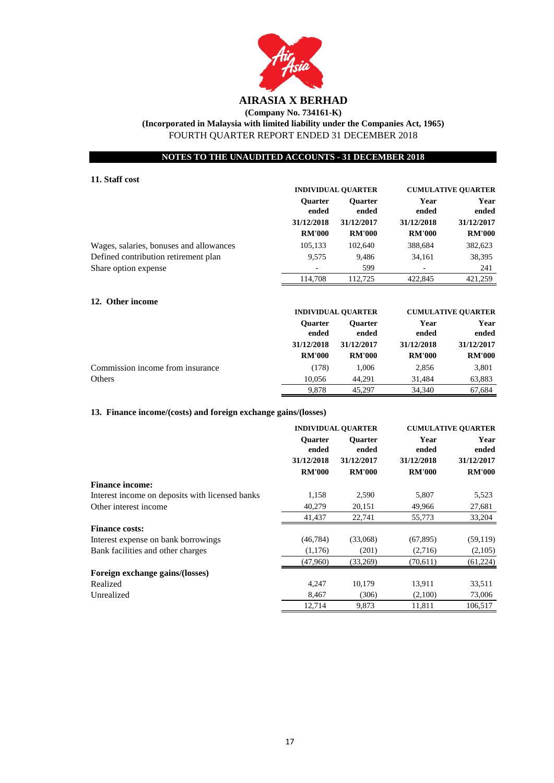

## **(Company No. 734161-K) (Incorporated in Malaysia with limited liability under the Companies Act, 1965)** FOURTH QUARTER REPORT ENDED 31 DECEMBER 2018

### **NOTES TO THE UNAUDITED ACCOUNTS - 31 DECEMBER 2018**

|                                         | <b>INDIVIDUAL QUARTER</b> |                         | <b>CUMULATIVE QUARTER</b> |               |  |               |
|-----------------------------------------|---------------------------|-------------------------|---------------------------|---------------|--|---------------|
|                                         | <b>Ouarter</b><br>ended   | <b>Ouarter</b><br>ended | Year<br>ended             |               |  | Year<br>ended |
|                                         | 31/12/2018                | 31/12/2017              | 31/12/2018                | 31/12/2017    |  |               |
|                                         | <b>RM'000</b>             | <b>RM'000</b>           | <b>RM'000</b>             | <b>RM'000</b> |  |               |
| Wages, salaries, bonuses and allowances | 105,133                   | 102,640                 | 388,684                   | 382,623       |  |               |
| Defined contribution retirement plan    | 9.575                     | 9.486                   | 34,161                    | 38,395        |  |               |
| Share option expense                    |                           | 599                     |                           | 241           |  |               |
|                                         | 114.708                   | 112.725                 | 422,845                   | 421,259       |  |               |
|                                         |                           |                         |                           |               |  |               |

| 12. Other income                 |                                       |                                       |                             |                             |
|----------------------------------|---------------------------------------|---------------------------------------|-----------------------------|-----------------------------|
|                                  |                                       | <b>INDIVIDUAL OUARTER</b>             |                             | <b>CUMULATIVE OUARTER</b>   |
|                                  | <b>Ouarter</b><br>ended<br>31/12/2018 | <b>Ouarter</b><br>ended<br>31/12/2017 | Year<br>ended<br>31/12/2018 | Year<br>ended<br>31/12/2017 |
|                                  | <b>RM'000</b>                         | <b>RM'000</b>                         | <b>RM'000</b>               | <b>RM'000</b>               |
| Commission income from insurance | (178)                                 | 1.006                                 | 2,856                       | 3,801                       |
| Others                           | 10.056                                | 44.291                                | 31.484                      | 63,883                      |
|                                  | 9.878                                 | 45.297                                | 34,340                      | 67.684                      |

### **13. Finance income/(costs) and foreign exchange gains/(losses)**

**11. Staff cost**

|                                                 | <b>INDIVIDUAL OUARTER</b> |                         | <b>CUMULATIVE QUARTER</b> |               |
|-------------------------------------------------|---------------------------|-------------------------|---------------------------|---------------|
|                                                 | <b>Ouarter</b><br>ended   | <b>Ouarter</b><br>ended | Year<br>ended             | Year<br>ended |
|                                                 | 31/12/2018                | 31/12/2017              | 31/12/2018                | 31/12/2017    |
|                                                 | <b>RM'000</b>             | <b>RM'000</b>           | <b>RM'000</b>             | <b>RM'000</b> |
| <b>Finance income:</b>                          |                           |                         |                           |               |
| Interest income on deposits with licensed banks | 1,158                     | 2,590                   | 5,807                     | 5,523         |
| Other interest income                           | 40,279                    | 20,151                  | 49,966                    | 27,681        |
|                                                 | 41,437                    | 22,741                  | 55,773                    | 33,204        |
| <b>Finance costs:</b>                           |                           |                         |                           |               |
| Interest expense on bank borrowings             | (46, 784)                 | (33,068)                | (67, 895)                 | (59, 119)     |
| Bank facilities and other charges               | (1,176)                   | (201)                   | (2,716)                   | (2,105)       |
|                                                 | (47,960)                  | (33,269)                | (70,611)                  | (61, 224)     |
| Foreign exchange gains/(losses)                 |                           |                         |                           |               |
| Realized                                        | 4,247                     | 10,179                  | 13,911                    | 33,511        |
| Unrealized                                      | 8,467                     | (306)                   | (2,100)                   | 73,006        |
|                                                 | 12,714                    | 9,873                   | 11,811                    | 106,517       |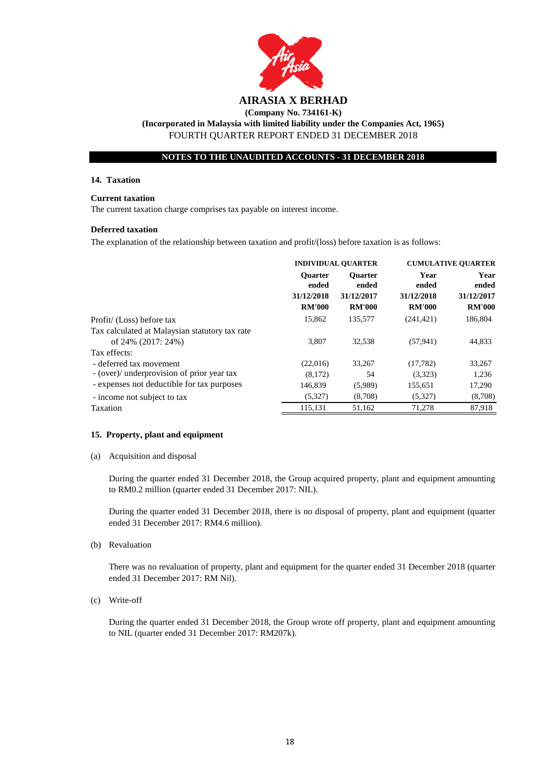

#### **14. Taxation**

#### **Current taxation**

The current taxation charge comprises tax payable on interest income.

#### **Deferred taxation**

The explanation of the relationship between taxation and profit/(loss) before taxation is as follows:

|                                                | <b>INDIVIDUAL QUARTER</b>   |                             | <b>CUMULATIVE QUARTER</b>   |                             |
|------------------------------------------------|-----------------------------|-----------------------------|-----------------------------|-----------------------------|
|                                                | <b>Ouarter</b><br>ended     | <b>Ouarter</b><br>ended     | Year<br>ended               | Year<br>ended               |
|                                                | 31/12/2018<br><b>RM'000</b> | 31/12/2017<br><b>RM'000</b> | 31/12/2018<br><b>RM'000</b> | 31/12/2017<br><b>RM'000</b> |
| Profit/ (Loss) before tax                      | 15,862                      | 135,577                     | (241, 421)                  | 186,804                     |
| Tax calculated at Malaysian statutory tax rate |                             |                             |                             |                             |
| of 24% (2017: 24%)                             | 3.807                       | 32,538                      | (57, 941)                   | 44,833                      |
| Tax effects:                                   |                             |                             |                             |                             |
| - deferred tax movement                        | (22,016)                    | 33,267                      | (17, 782)                   | 33,267                      |
| - (over)/ underprovision of prior year tax     | (8,172)                     | 54                          | (3,323)                     | 1,236                       |
| - expenses not deductible for tax purposes     | 146,839                     | (5,989)                     | 155,651                     | 17,290                      |
| - income not subject to tax                    | (5,327)                     | (8,708)                     | (5,327)                     | (8,708)                     |
| Taxation                                       | 115,131                     | 51,162                      | 71,278                      | 87,918                      |
|                                                |                             |                             |                             |                             |

#### **15. Property, plant and equipment**

(a) Acquisition and disposal

During the quarter ended 31 December 2018, the Group acquired property, plant and equipment amounting to RM0.2 million (quarter ended 31 December 2017: NIL).

During the quarter ended 31 December 2018, there is no disposal of property, plant and equipment (quarter ended 31 December 2017: RM4.6 million).

(b) Revaluation

There was no revaluation of property, plant and equipment for the quarter ended 31 December 2018 (quarter ended 31 December 2017: RM Nil).

(c) Write-off

During the quarter ended 31 December 2018, the Group wrote off property, plant and equipment amounting to NIL (quarter ended 31 December 2017: RM207k).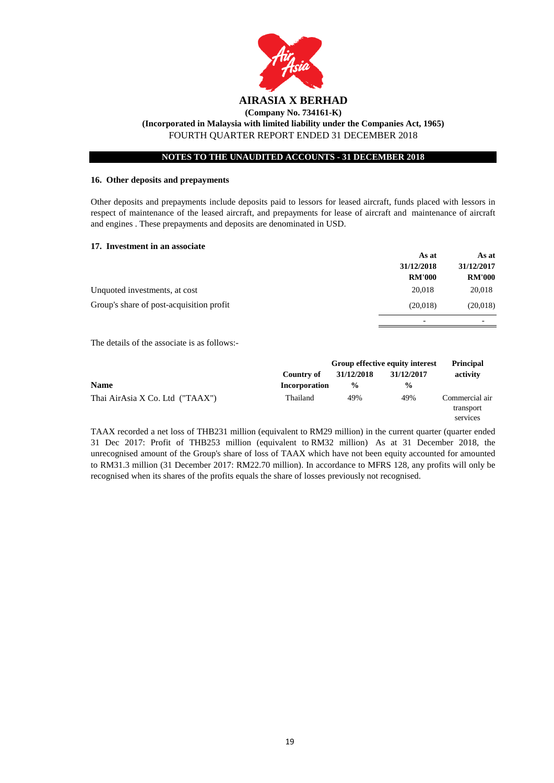

#### **16. Other deposits and prepayments**

Other deposits and prepayments include deposits paid to lessors for leased aircraft, funds placed with lessors in respect of maintenance of the leased aircraft, and prepayments for lease of aircraft and maintenance of aircraft and engines . These prepayments and deposits are denominated in USD.

#### **17. Investment in an associate**

|                                          | As at                    | As at         |
|------------------------------------------|--------------------------|---------------|
|                                          | 31/12/2018               | 31/12/2017    |
|                                          | <b>RM'000</b>            | <b>RM'000</b> |
| Unquoted investments, at cost            | 20,018                   | 20,018        |
| Group's share of post-acquisition profit | (20,018)                 | (20,018)      |
|                                          | $\overline{\phantom{0}}$ |               |

The details of the associate is as follows:-

|                                 |                      |               | Group effective equity interest | <b>Principal</b>                        |
|---------------------------------|----------------------|---------------|---------------------------------|-----------------------------------------|
|                                 | Country of           | 31/12/2018    | 31/12/2017                      | activity                                |
| <b>Name</b>                     | <b>Incorporation</b> | $\frac{6}{6}$ | $\frac{0}{0}$                   |                                         |
| Thai AirAsia X Co. Ltd ("TAAX") | Thailand             | 49%           | 49%                             | Commercial air<br>transport<br>services |

TAAX recorded a net loss of THB231 million (equivalent to RM29 million) in the current quarter (quarter ended 31 Dec 2017: Profit of THB253 million (equivalent to RM32 million) As at 31 December 2018, the unrecognised amount of the Group's share of loss of TAAX which have not been equity accounted for amounted to RM31.3 million (31 December 2017: RM22.70 million). In accordance to MFRS 128, any profits will only be recognised when its shares of the profits equals the share of losses previously not recognised.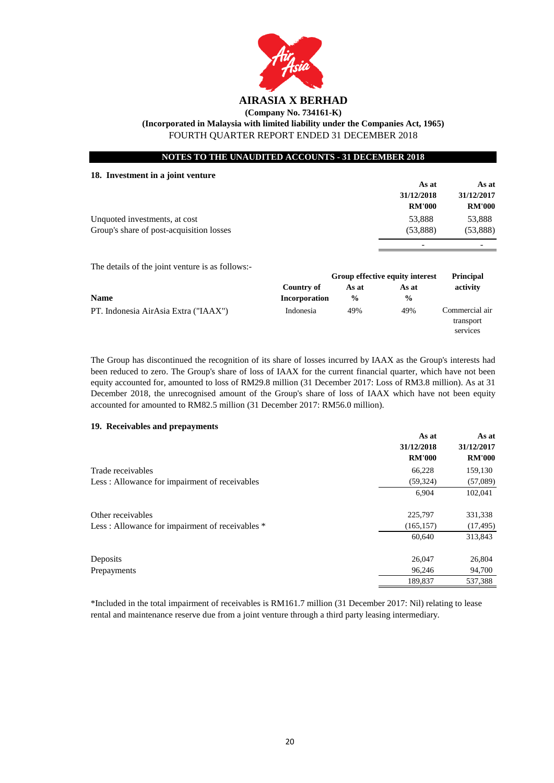

**(Company No. 734161-K)**

**(Incorporated in Malaysia with limited liability under the Companies Act, 1965)**

FOURTH QUARTER REPORT ENDED 31 DECEMBER 2018

|  |  |  |  | <b>NOTES TO THE UNAUDITED ACCOUNTS - 31 DECEMBER 2018</b> |
|--|--|--|--|-----------------------------------------------------------|
|--|--|--|--|-----------------------------------------------------------|

|           |            | As at                | As at                                    |
|-----------|------------|----------------------|------------------------------------------|
|           |            | 31/12/2018           | 31/12/2017                               |
|           |            | <b>RM'000</b>        | <b>RM'000</b>                            |
|           |            | 53,888               | 53,888                                   |
|           |            | (53, 888)            | (53,888)                                 |
|           |            |                      |                                          |
|           |            |                      |                                          |
|           |            |                      | <b>Principal</b>                         |
|           | As at      |                      | activity                                 |
|           | $\%$       | $\frac{6}{9}$        |                                          |
| Indonesia | 49%        | 49%                  | Commercial air<br>transport<br>services  |
|           | Country of | <b>Incorporation</b> | Group effective equity interest<br>As at |

The Group has discontinued the recognition of its share of losses incurred by IAAX as the Group's interests had been reduced to zero. The Group's share of loss of IAAX for the current financial quarter, which have not been equity accounted for, amounted to loss of RM29.8 million (31 December 2017: Loss of RM3.8 million). As at 31 December 2018, the unrecognised amount of the Group's share of loss of IAAX which have not been equity accounted for amounted to RM82.5 million (31 December 2017: RM56.0 million).

### **19. Receivables and prepayments**

|                                                 | As at         | As at         |
|-------------------------------------------------|---------------|---------------|
|                                                 | 31/12/2018    | 31/12/2017    |
|                                                 | <b>RM'000</b> | <b>RM'000</b> |
| Trade receivables                               | 66,228        | 159,130       |
| Less: Allowance for impairment of receivables   | (59, 324)     | (57,089)      |
|                                                 | 6,904         | 102,041       |
| Other receivables                               | 225,797       | 331,338       |
| Less: Allowance for impairment of receivables * | (165, 157)    | (17, 495)     |
|                                                 | 60,640        | 313,843       |
| Deposits                                        | 26,047        | 26,804        |
| Prepayments                                     | 96,246        | 94,700        |
|                                                 | 189,837       | 537,388       |

\*Included in the total impairment of receivables is RM161.7 million (31 December 2017: Nil) relating to lease rental and maintenance reserve due from a joint venture through a third party leasing intermediary.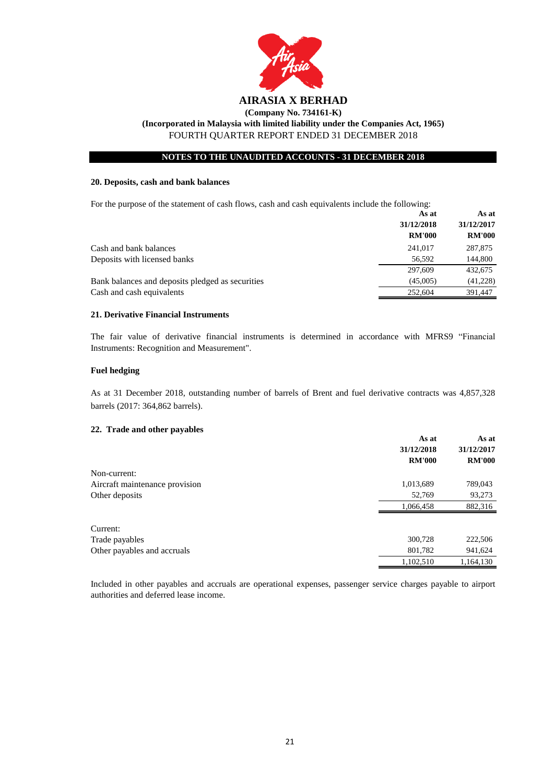

FOURTH QUARTER REPORT ENDED 31 DECEMBER 2018

### **NOTES TO THE UNAUDITED ACCOUNTS - 31 DECEMBER 2018**

#### **20. Deposits, cash and bank balances**

For the purpose of the statement of cash flows, cash and cash equivalents include the following:

|                                                  | As at         | As at         |
|--------------------------------------------------|---------------|---------------|
|                                                  | 31/12/2018    | 31/12/2017    |
|                                                  | <b>RM'000</b> | <b>RM'000</b> |
| Cash and bank balances                           | 241,017       | 287,875       |
| Deposits with licensed banks                     | 56.592        | 144,800       |
|                                                  | 297,609       | 432,675       |
| Bank balances and deposits pledged as securities | (45,005)      | (41,228)      |
| Cash and cash equivalents                        | 252,604       | 391,447       |

## **21. Derivative Financial Instruments**

The fair value of derivative financial instruments is determined in accordance with MFRS9 "Financial Instruments: Recognition and Measurement".

#### **Fuel hedging**

As at 31 December 2018, outstanding number of barrels of Brent and fuel derivative contracts was 4,857,328 barrels (2017: 364,862 barrels).

#### **22. Trade and other payables**

|                                | As at         | As at         |
|--------------------------------|---------------|---------------|
|                                | 31/12/2018    | 31/12/2017    |
|                                | <b>RM'000</b> | <b>RM'000</b> |
| Non-current:                   |               |               |
| Aircraft maintenance provision | 1,013,689     | 789,043       |
| Other deposits                 | 52,769        | 93,273        |
|                                | 1,066,458     | 882,316       |
| Current:                       |               |               |
| Trade payables                 | 300,728       | 222,506       |
| Other payables and accruals    | 801,782       | 941,624       |
|                                | 1,102,510     | 1,164,130     |

Included in other payables and accruals are operational expenses, passenger service charges payable to airport authorities and deferred lease income.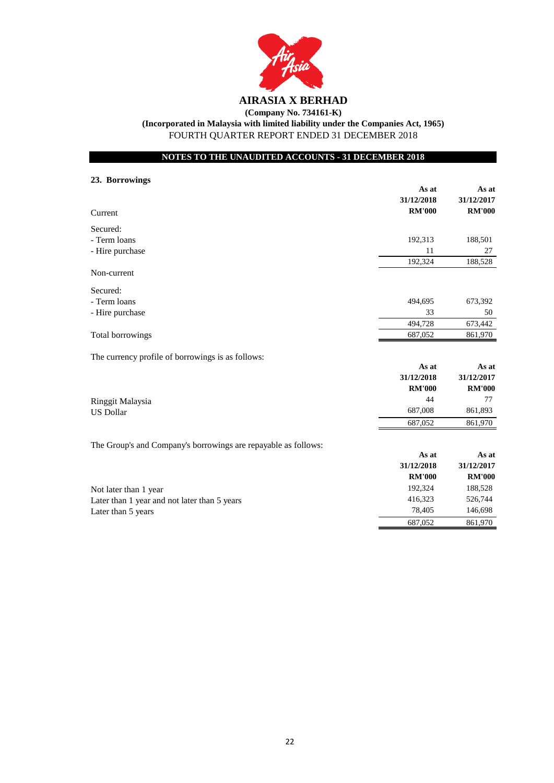

## **(Company No. 734161-K) (Incorporated in Malaysia with limited liability under the Companies Act, 1965)**

FOURTH QUARTER REPORT ENDED 31 DECEMBER 2018

## **NOTES TO THE UNAUDITED ACCOUNTS - 31 DECEMBER 2018**

| 23. Borrowings                                                 |               |               |
|----------------------------------------------------------------|---------------|---------------|
|                                                                | As at         | As at         |
|                                                                | 31/12/2018    | 31/12/2017    |
| Current                                                        | <b>RM'000</b> | <b>RM'000</b> |
| Secured:                                                       |               |               |
| - Term loans                                                   | 192,313       | 188,501       |
| - Hire purchase                                                | 11            | 27            |
|                                                                | 192,324       | 188,528       |
| Non-current                                                    |               |               |
| Secured:                                                       |               |               |
| - Term loans                                                   | 494,695       | 673,392       |
| - Hire purchase                                                | 33            | 50            |
|                                                                | 494,728       | 673,442       |
| Total borrowings                                               | 687,052       | 861,970       |
| The currency profile of borrowings is as follows:              |               |               |
|                                                                | As at         | As at         |
|                                                                | 31/12/2018    | 31/12/2017    |
|                                                                | <b>RM'000</b> | <b>RM'000</b> |
| Ringgit Malaysia                                               | 44            | 77            |
| <b>US Dollar</b>                                               | 687,008       | 861,893       |
|                                                                | 687,052       | 861,970       |
| The Group's and Company's borrowings are repayable as follows: |               |               |
|                                                                | As at         | As at         |
|                                                                | 31/12/2018    | 31/12/2017    |
|                                                                | <b>RM'000</b> | <b>RM'000</b> |
| Not later than 1 year                                          | 192,324       | 188,528       |
| Later than 1 year and not later than 5 years                   | 416,323       | 526,744       |
| Later than 5 years                                             | 78,405        | 146,698       |
|                                                                | 687,052       | 861,970       |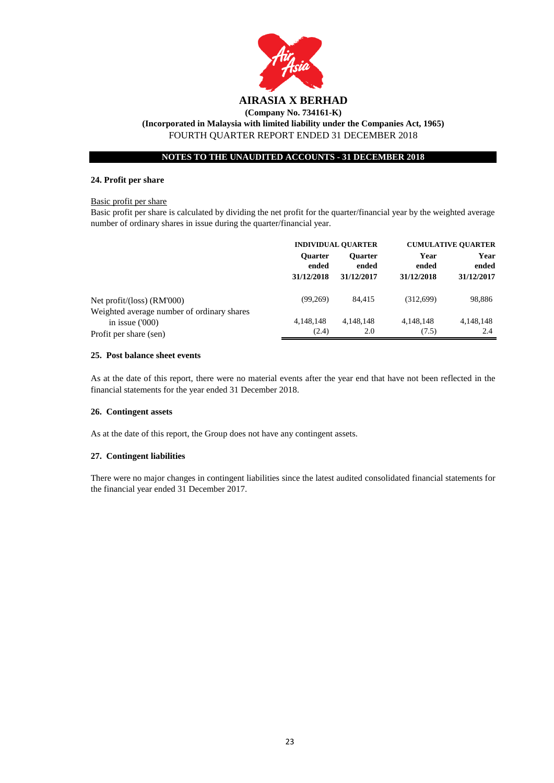

#### **24. Profit per share**

#### Basic profit per share

Basic profit per share is calculated by dividing the net profit for the quarter/financial year by the weighted average number of ordinary shares in issue during the quarter/financial year.

|                                                                                          |                                       | <b>INDIVIDUAL QUARTER</b>             |                             | <b>CUMULATIVE QUARTER</b>   |  |
|------------------------------------------------------------------------------------------|---------------------------------------|---------------------------------------|-----------------------------|-----------------------------|--|
|                                                                                          | <b>Ouarter</b><br>ended<br>31/12/2018 | <b>Ouarter</b><br>ended<br>31/12/2017 | Year<br>ended<br>31/12/2018 | Year<br>ended<br>31/12/2017 |  |
| Net profit/(loss) (RM'000)                                                               | (99.269)                              | 84.415                                | (312,699)                   | 98,886                      |  |
| Weighted average number of ordinary shares<br>in issue $(000)$<br>Profit per share (sen) | 4,148,148<br>(2.4)                    | 4,148,148<br>2.0                      | 4,148,148<br>(7.5)          | 4,148,148<br>2.4            |  |

#### **25. Post balance sheet events**

As at the date of this report, there were no material events after the year end that have not been reflected in the financial statements for the year ended 31 December 2018.

#### **26. Contingent assets**

As at the date of this report, the Group does not have any contingent assets.

#### **27. Contingent liabilities**

There were no major changes in contingent liabilities since the latest audited consolidated financial statements for the financial year ended 31 December 2017.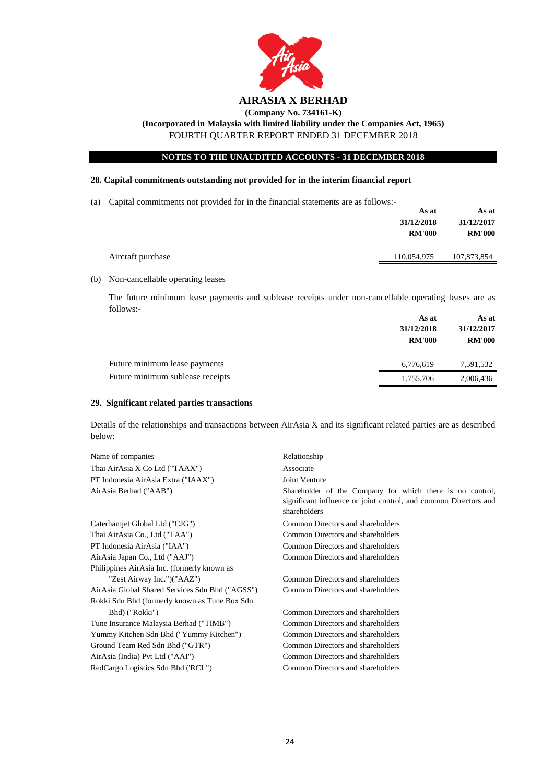

# **(Company No. 734161-K)**

**(Incorporated in Malaysia with limited liability under the Companies Act, 1965)**

FOURTH QUARTER REPORT ENDED 31 DECEMBER 2018

### **NOTES TO THE UNAUDITED ACCOUNTS - 31 DECEMBER 2018**

### **28. Capital commitments outstanding not provided for in the interim financial report**

(a) Capital commitments not provided for in the financial statements are as follows:-

|                   | As at         | As at         |
|-------------------|---------------|---------------|
|                   | 31/12/2018    | 31/12/2017    |
|                   | <b>RM'000</b> | <b>RM'000</b> |
|                   |               |               |
| Aircraft purchase | 110,054,975   | 107,873,854   |

(b) Non-cancellable operating leases

The future minimum lease payments and sublease receipts under non-cancellable operating leases are as follows:-

|                                  | As at         | As at         |  |
|----------------------------------|---------------|---------------|--|
|                                  | 31/12/2018    | 31/12/2017    |  |
|                                  | <b>RM'000</b> | <b>RM'000</b> |  |
| Future minimum lease payments    | 6,776,619     | 7,591,532     |  |
| Future minimum sublease receipts | 1,755,706     | 2,006,436     |  |

#### **29. Significant related parties transactions**

Details of the relationships and transactions between AirAsia X and its significant related parties are as described below:

| Name of companies                               | Relationship                                                                                                                                  |
|-------------------------------------------------|-----------------------------------------------------------------------------------------------------------------------------------------------|
| Thai AirAsia X Co Ltd ("TAAX")                  | Associate                                                                                                                                     |
| PT Indonesia AirAsia Extra ("IAAX")             | Joint Venture                                                                                                                                 |
| AirAsia Berhad ("AAB")                          | Shareholder of the Company for which there is no control,<br>significant influence or joint control, and common Directors and<br>shareholders |
| Caterhamjet Global Ltd ("CJG")                  | Common Directors and shareholders                                                                                                             |
| Thai AirAsia Co., Ltd ("TAA")                   | Common Directors and shareholders                                                                                                             |
| PT Indonesia AirAsia ("IAA")                    | Common Directors and shareholders                                                                                                             |
| AirAsia Japan Co., Ltd ("AAJ")                  | Common Directors and shareholders                                                                                                             |
| Philippines AirAsia Inc. (formerly known as     |                                                                                                                                               |
| "Zest Airway Inc.")("AAZ")                      | Common Directors and shareholders                                                                                                             |
| AirAsia Global Shared Services Sdn Bhd ("AGSS") | Common Directors and shareholders                                                                                                             |
| Rokki Sdn Bhd (formerly known as Tune Box Sdn   |                                                                                                                                               |
| Bhd) ("Rokki")                                  | Common Directors and shareholders                                                                                                             |
| Tune Insurance Malaysia Berhad ("TIMB")         | Common Directors and shareholders                                                                                                             |
| Yummy Kitchen Sdn Bhd ("Yummy Kitchen")         | Common Directors and shareholders                                                                                                             |
| Ground Team Red Sdn Bhd ("GTR")                 | Common Directors and shareholders                                                                                                             |
| AirAsia (India) Pvt Ltd ("AAI")                 | Common Directors and shareholders                                                                                                             |
| RedCargo Logistics Sdn Bhd ('RCL'')             | Common Directors and shareholders                                                                                                             |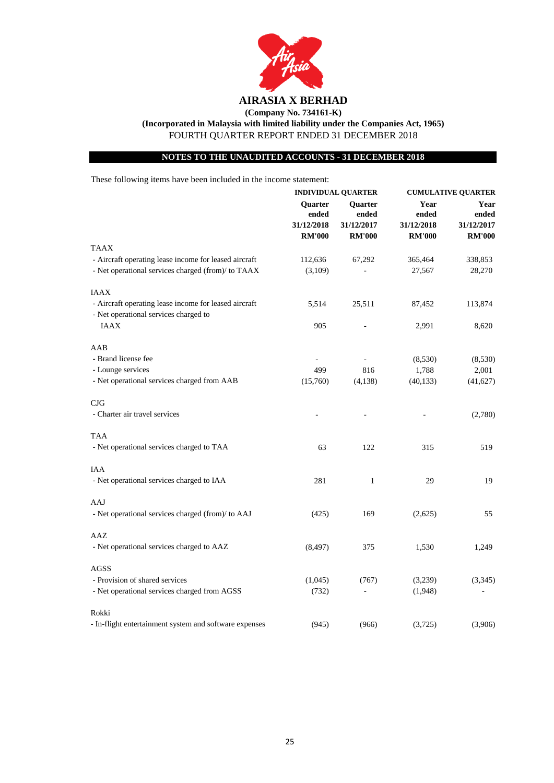

**(Company No. 734161-K)**

**(Incorporated in Malaysia with limited liability under the Companies Act, 1965)**

FOURTH QUARTER REPORT ENDED 31 DECEMBER 2018

### **NOTES TO THE UNAUDITED ACCOUNTS - 31 DECEMBER 2018**

These following items have been included in the income statement:

|                                                        | <b>INDIVIDUAL QUARTER</b> |                          | <b>CUMULATIVE QUARTER</b> |               |                         |               |               |
|--------------------------------------------------------|---------------------------|--------------------------|---------------------------|---------------|-------------------------|---------------|---------------|
|                                                        | Quarter<br>ended          |                          |                           |               | <b>Ouarter</b><br>ended | Year<br>ended | Year<br>ended |
|                                                        | 31/12/2018                | 31/12/2017               | 31/12/2018                | 31/12/2017    |                         |               |               |
|                                                        | <b>RM'000</b>             | <b>RM'000</b>            | <b>RM'000</b>             | <b>RM'000</b> |                         |               |               |
| <b>TAAX</b>                                            |                           |                          |                           |               |                         |               |               |
| - Aircraft operating lease income for leased aircraft  | 112,636                   | 67,292                   | 365,464                   | 338,853       |                         |               |               |
| - Net operational services charged (from)/ to TAAX     | (3,109)                   |                          | 27,567                    | 28,270        |                         |               |               |
| <b>IAAX</b>                                            |                           |                          |                           |               |                         |               |               |
| - Aircraft operating lease income for leased aircraft  | 5,514                     | 25,511                   | 87,452                    | 113,874       |                         |               |               |
| - Net operational services charged to                  |                           |                          |                           |               |                         |               |               |
| <b>IAAX</b>                                            | 905                       |                          | 2,991                     | 8,620         |                         |               |               |
| AAB                                                    |                           |                          |                           |               |                         |               |               |
| - Brand license fee                                    |                           |                          | (8,530)                   | (8,530)       |                         |               |               |
| - Lounge services                                      | 499                       | 816                      | 1,788                     | 2,001         |                         |               |               |
| - Net operational services charged from AAB            | (15,760)                  | (4,138)                  | (40, 133)                 | (41,627)      |                         |               |               |
| CJG                                                    |                           |                          |                           |               |                         |               |               |
| - Charter air travel services                          |                           |                          |                           | (2,780)       |                         |               |               |
| <b>TAA</b>                                             |                           |                          |                           |               |                         |               |               |
| - Net operational services charged to TAA              | 63                        | 122                      | 315                       | 519           |                         |               |               |
| <b>IAA</b>                                             |                           |                          |                           |               |                         |               |               |
| - Net operational services charged to IAA              | 281                       | 1                        | 29                        | 19            |                         |               |               |
| AAJ                                                    |                           |                          |                           |               |                         |               |               |
| - Net operational services charged (from)/ to AAJ      | (425)                     | 169                      | (2,625)                   | 55            |                         |               |               |
| AAZ                                                    |                           |                          |                           |               |                         |               |               |
| - Net operational services charged to AAZ              | (8, 497)                  | 375                      | 1,530                     | 1,249         |                         |               |               |
| <b>AGSS</b>                                            |                           |                          |                           |               |                         |               |               |
| - Provision of shared services                         | (1,045)                   | (767)                    | (3,239)                   | (3, 345)      |                         |               |               |
| - Net operational services charged from AGSS           | (732)                     | $\overline{\phantom{a}}$ | (1,948)                   |               |                         |               |               |
| Rokki                                                  |                           |                          |                           |               |                         |               |               |
| - In-flight entertainment system and software expenses | (945)                     | (966)                    | (3,725)                   | (3,906)       |                         |               |               |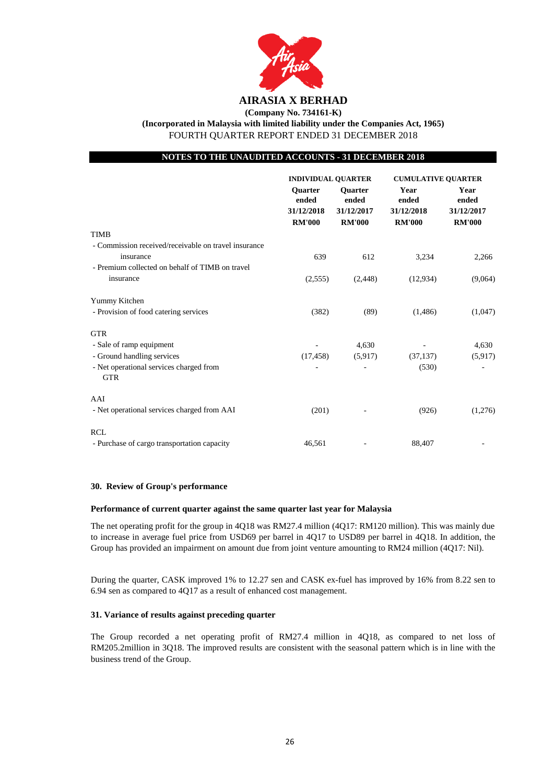

**(Company No. 734161-K)**

**(Incorporated in Malaysia with limited liability under the Companies Act, 1965)**

FOURTH QUARTER REPORT ENDED 31 DECEMBER 2018

### **NOTES TO THE UNAUDITED ACCOUNTS - 31 DECEMBER 2018**

|                                                       | <b>INDIVIDUAL QUARTER</b>                              |                                                        | <b>CUMULATIVE QUARTER</b>                    |                                              |
|-------------------------------------------------------|--------------------------------------------------------|--------------------------------------------------------|----------------------------------------------|----------------------------------------------|
|                                                       | <b>Ouarter</b><br>ended<br>31/12/2018<br><b>RM'000</b> | <b>Ouarter</b><br>ended<br>31/12/2017<br><b>RM'000</b> | Year<br>ended<br>31/12/2018<br><b>RM'000</b> | Year<br>ended<br>31/12/2017<br><b>RM'000</b> |
| <b>TIMB</b>                                           |                                                        |                                                        |                                              |                                              |
| - Commission received/receivable on travel insurance  |                                                        |                                                        |                                              |                                              |
| insurance                                             | 639                                                    | 612                                                    | 3,234                                        | 2,266                                        |
| - Premium collected on behalf of TIMB on travel       |                                                        |                                                        |                                              |                                              |
| insurance                                             | (2,555)                                                | (2, 448)                                               | (12,934)                                     | (9,064)                                      |
| Yummy Kitchen                                         |                                                        |                                                        |                                              |                                              |
| - Provision of food catering services                 | (382)                                                  | (89)                                                   | (1,486)                                      | (1,047)                                      |
| <b>GTR</b>                                            |                                                        |                                                        |                                              |                                              |
| - Sale of ramp equipment                              |                                                        | 4,630                                                  |                                              | 4,630                                        |
| - Ground handling services                            | (17, 458)                                              | (5,917)                                                | (37, 137)                                    | (5,917)                                      |
| - Net operational services charged from<br><b>GTR</b> |                                                        |                                                        | (530)                                        |                                              |
| AAI                                                   |                                                        |                                                        |                                              |                                              |
| - Net operational services charged from AAI           | (201)                                                  |                                                        | (926)                                        | (1,276)                                      |
| <b>RCL</b>                                            |                                                        |                                                        |                                              |                                              |
| - Purchase of cargo transportation capacity           | 46,561                                                 |                                                        | 88,407                                       |                                              |

#### **30. Review of Group's performance**

#### **Performance of current quarter against the same quarter last year for Malaysia**

The net operating profit for the group in 4Q18 was RM27.4 million (4Q17: RM120 million). This was mainly due to increase in average fuel price from USD69 per barrel in 4Q17 to USD89 per barrel in 4Q18. In addition, the Group has provided an impairment on amount due from joint venture amounting to RM24 million (4Q17: Nil).

During the quarter, CASK improved 1% to 12.27 sen and CASK ex-fuel has improved by 16% from 8.22 sen to 6.94 sen as compared to 4Q17 as a result of enhanced cost management.

#### **31. Variance of results against preceding quarter**

The Group recorded a net operating profit of RM27.4 million in 4Q18, as compared to net loss of RM205.2million in 3Q18. The improved results are consistent with the seasonal pattern which is in line with the business trend of the Group.